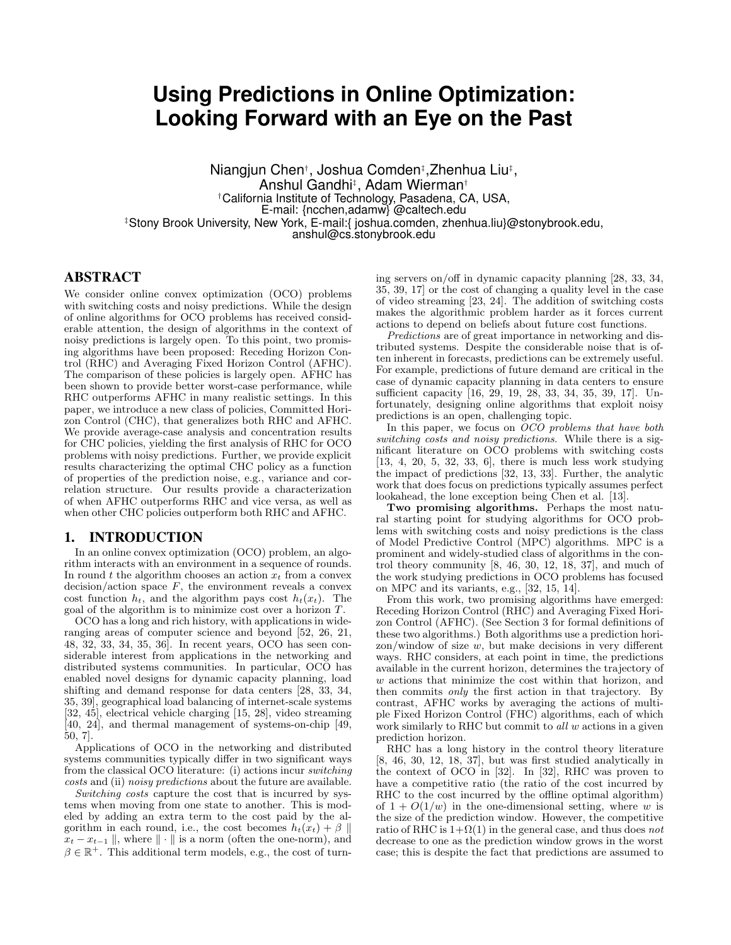# **Using Predictions in Online Optimization: Looking Forward with an Eye on the Past**

Niangjun Chen†, Joshua Comden‡,Zhenhua Liu‡, Anshul Gandhi‡ , Adam Wierman† †California Institute of Technology, Pasadena, CA, USA, E-mail: {ncchen,adamw} @caltech.edu ‡Stony Brook University, New York, E-mail:{ joshua.comden, zhenhua.liu}@stonybrook.edu, anshul@cs.stonybrook.edu

# ABSTRACT

We consider online convex optimization (OCO) problems with switching costs and noisy predictions. While the design of online algorithms for OCO problems has received considerable attention, the design of algorithms in the context of noisy predictions is largely open. To this point, two promising algorithms have been proposed: Receding Horizon Control (RHC) and Averaging Fixed Horizon Control (AFHC). The comparison of these policies is largely open. AFHC has been shown to provide better worst-case performance, while RHC outperforms AFHC in many realistic settings. In this paper, we introduce a new class of policies, Committed Horizon Control (CHC), that generalizes both RHC and AFHC. We provide average-case analysis and concentration results for CHC policies, yielding the first analysis of RHC for OCO problems with noisy predictions. Further, we provide explicit results characterizing the optimal CHC policy as a function of properties of the prediction noise, e.g., variance and correlation structure. Our results provide a characterization of when AFHC outperforms RHC and vice versa, as well as when other CHC policies outperform both RHC and AFHC.

## 1. INTRODUCTION

In an online convex optimization (OCO) problem, an algorithm interacts with an environment in a sequence of rounds. In round  $t$  the algorithm chooses an action  $x_t$  from a convex decision/action space  $F$ , the environment reveals a convex cost function  $h_t$ , and the algorithm pays cost  $h_t(x_t)$ . The goal of the algorithm is to minimize cost over a horizon T.

OCO has a long and rich history, with applications in wideranging areas of computer science and beyond [52, 26, 21, 48, 32, 33, 34, 35, 36]. In recent years, OCO has seen considerable interest from applications in the networking and distributed systems communities. In particular, OCO has enabled novel designs for dynamic capacity planning, load shifting and demand response for data centers [28, 33, 34, 35, 39], geographical load balancing of internet-scale systems [32, 45], electrical vehicle charging [15, 28], video streaming [40, 24], and thermal management of systems-on-chip [49, 50, 7].

Applications of OCO in the networking and distributed systems communities typically differ in two significant ways from the classical OCO literature: (i) actions incur switching costs and (ii) noisy predictions about the future are available.

Switching costs capture the cost that is incurred by systems when moving from one state to another. This is modeled by adding an extra term to the cost paid by the algorithm in each round, i.e., the cost becomes  $h_t(x_t) + \beta \parallel$  $x_t - x_{t-1} \parallel$ , where  $\parallel \cdot \parallel$  is a norm (often the one-norm), and  $\beta \in \mathbb{R}^+$ . This additional term models, e.g., the cost of turning servers on/off in dynamic capacity planning [28, 33, 34, 35, 39, 17] or the cost of changing a quality level in the case of video streaming [23, 24]. The addition of switching costs makes the algorithmic problem harder as it forces current actions to depend on beliefs about future cost functions.

Predictions are of great importance in networking and distributed systems. Despite the considerable noise that is often inherent in forecasts, predictions can be extremely useful. For example, predictions of future demand are critical in the case of dynamic capacity planning in data centers to ensure sufficient capacity [16, 29, 19, 28, 33, 34, 35, 39, 17]. Unfortunately, designing online algorithms that exploit noisy predictions is an open, challenging topic.

In this paper, we focus on OCO problems that have both switching costs and noisy predictions. While there is a significant literature on OCO problems with switching costs [13, 4, 20, 5, 32, 33, 6], there is much less work studying the impact of predictions [32, 13, 33]. Further, the analytic work that does focus on predictions typically assumes perfect lookahead, the lone exception being Chen et al. [13].

Two promising algorithms. Perhaps the most natural starting point for studying algorithms for OCO problems with switching costs and noisy predictions is the class of Model Predictive Control (MPC) algorithms. MPC is a prominent and widely-studied class of algorithms in the control theory community  $[8, 46, 30, 12, 18, 37]$ , and much of the work studying predictions in OCO problems has focused on MPC and its variants, e.g., [32, 15, 14].

From this work, two promising algorithms have emerged: Receding Horizon Control (RHC) and Averaging Fixed Horizon Control (AFHC). (See Section 3 for formal definitions of these two algorithms.) Both algorithms use a prediction hori- $\alpha$ zon/window of size w, but make decisions in very different ways. RHC considers, at each point in time, the predictions available in the current horizon, determines the trajectory of w actions that minimize the cost within that horizon, and then commits only the first action in that trajectory. By contrast, AFHC works by averaging the actions of multiple Fixed Horizon Control (FHC) algorithms, each of which work similarly to RHC but commit to all w actions in a given prediction horizon.

RHC has a long history in the control theory literature [8, 46, 30, 12, 18, 37], but was first studied analytically in the context of OCO in [32]. In [32], RHC was proven to have a competitive ratio (the ratio of the cost incurred by RHC to the cost incurred by the offline optimal algorithm) of  $1 + O(1/w)$  in the one-dimensional setting, where w is the size of the prediction window. However, the competitive ratio of RHC is  $1+\Omega(1)$  in the general case, and thus does not decrease to one as the prediction window grows in the worst case; this is despite the fact that predictions are assumed to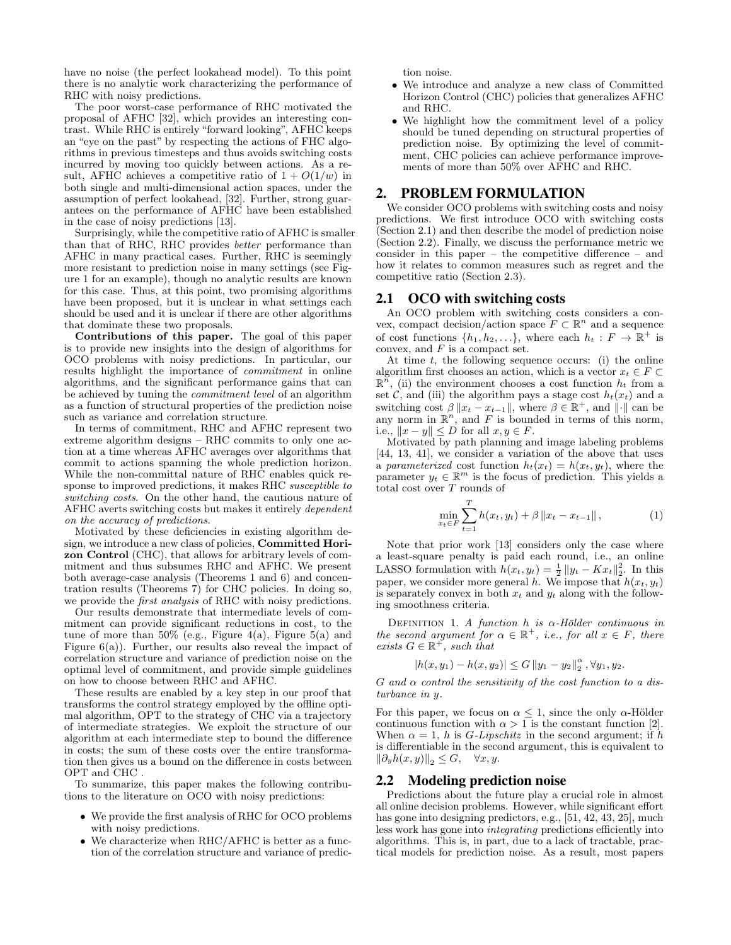have no noise (the perfect lookahead model). To this point there is no analytic work characterizing the performance of RHC with noisy predictions.

The poor worst-case performance of RHC motivated the proposal of AFHC [32], which provides an interesting contrast. While RHC is entirely "forward looking", AFHC keeps an "eye on the past" by respecting the actions of FHC algorithms in previous timesteps and thus avoids switching costs incurred by moving too quickly between actions. As a result, AFHC achieves a competitive ratio of  $1 + O(1/w)$  in both single and multi-dimensional action spaces, under the assumption of perfect lookahead, [32]. Further, strong guarantees on the performance of AFHC have been established in the case of noisy predictions [13].

Surprisingly, while the competitive ratio of AFHC is smaller than that of RHC, RHC provides better performance than AFHC in many practical cases. Further, RHC is seemingly more resistant to prediction noise in many settings (see Figure 1 for an example), though no analytic results are known for this case. Thus, at this point, two promising algorithms have been proposed, but it is unclear in what settings each should be used and it is unclear if there are other algorithms that dominate these two proposals.

Contributions of this paper. The goal of this paper is to provide new insights into the design of algorithms for OCO problems with noisy predictions. In particular, our results highlight the importance of commitment in online algorithms, and the significant performance gains that can be achieved by tuning the commitment level of an algorithm as a function of structural properties of the prediction noise such as variance and correlation structure.

In terms of commitment, RHC and AFHC represent two extreme algorithm designs – RHC commits to only one action at a time whereas AFHC averages over algorithms that commit to actions spanning the whole prediction horizon. While the non-committal nature of RHC enables quick response to improved predictions, it makes RHC susceptible to switching costs. On the other hand, the cautious nature of AFHC averts switching costs but makes it entirely dependent on the accuracy of predictions.

Motivated by these deficiencies in existing algorithm design, we introduce a new class of policies, Committed Horizon Control (CHC), that allows for arbitrary levels of commitment and thus subsumes RHC and AFHC. We present both average-case analysis (Theorems 1 and 6) and concentration results (Theorems 7) for CHC policies. In doing so, we provide the *first analysis* of RHC with noisy predictions.

Our results demonstrate that intermediate levels of commitment can provide significant reductions in cost, to the tune of more than  $50\%$  (e.g., Figure 4(a), Figure 5(a) and Figure  $6(a)$ ). Further, our results also reveal the impact of correlation structure and variance of prediction noise on the optimal level of commitment, and provide simple guidelines on how to choose between RHC and AFHC.

These results are enabled by a key step in our proof that transforms the control strategy employed by the offline optimal algorithm, OPT to the strategy of CHC via a trajectory of intermediate strategies. We exploit the structure of our algorithm at each intermediate step to bound the difference in costs; the sum of these costs over the entire transformation then gives us a bound on the difference in costs between OPT and CHC .

To summarize, this paper makes the following contributions to the literature on OCO with noisy predictions:

- We provide the first analysis of RHC for OCO problems with noisy predictions.
- We characterize when RHC/AFHC is better as a function of the correlation structure and variance of predic-

tion noise.

- We introduce and analyze a new class of Committed Horizon Control (CHC) policies that generalizes AFHC and RHC.
- We highlight how the commitment level of a policy should be tuned depending on structural properties of prediction noise. By optimizing the level of commitment, CHC policies can achieve performance improvements of more than 50% over AFHC and RHC.

# 2. PROBLEM FORMULATION

We consider OCO problems with switching costs and noisy predictions. We first introduce OCO with switching costs (Section 2.1) and then describe the model of prediction noise (Section 2.2). Finally, we discuss the performance metric we consider in this paper – the competitive difference – and how it relates to common measures such as regret and the competitive ratio (Section 2.3).

#### 2.1 OCO with switching costs

An OCO problem with switching costs considers a convex, compact decision/action space  $F \subset \mathbb{R}^n$  and a sequence of cost functions  $\{h_1, h_2, \ldots\}$ , where each  $h_t : F \to \mathbb{R}^+$  is convex, and  $F$  is a compact set.

At time  $t$ , the following sequence occurs: (i) the online algorithm first chooses an action, which is a vector  $x_t \in F \subset$  $\mathbb{R}^n$ , (ii) the environment chooses a cost function  $h_t$  from a set  $\hat{\mathcal{C}}$ , and (iii) the algorithm pays a stage cost  $h_t(x_t)$  and a switching cost  $\beta ||x_t - x_{t-1}||$ , where  $\beta \in \mathbb{R}^+$ , and  $|| \cdot ||$  can be any norm in  $\mathbb{R}^n$ , and F is bounded in terms of this norm, i.e.,  $||x - y|| \le D$  for all  $x, y \in F$ .

Motivated by path planning and image labeling problems [44, 13, 41], we consider a variation of the above that uses a parameterized cost function  $h_t(x_t) = h(x_t, y_t)$ , where the parameter  $y_t \in \mathbb{R}^m$  is the focus of prediction. This yields a total cost over T rounds of

$$
\min_{x_t \in F} \sum_{t=1}^T h(x_t, y_t) + \beta \|x_t - x_{t-1}\|,
$$
\n(1)

Note that prior work [13] considers only the case where a least-square penalty is paid each round, i.e., an online LASSO formulation with  $h(x_t, y_t) = \frac{1}{2} ||y_t - Kx_t||_2^2$ . In this paper, we consider more general h. We impose that  $h(x_t, y_t)$ is separately convex in both  $x_t$  and  $y_t$  along with the following smoothness criteria.

DEFINITION 1. A function h is  $\alpha$ -Hölder continuous in the second argument for  $\alpha \in \mathbb{R}^+$ , i.e., for all  $x \in F$ , there exists  $G \in \mathbb{R}^+$ , such that

$$
|h(x,y_1) - h(x,y_2)| \le G ||y_1 - y_2||_2^{\alpha}, \forall y_1, y_2.
$$

 $G$  and  $\alpha$  control the sensitivity of the cost function to a disturbance in y.

For this paper, we focus on  $\alpha \leq 1$ , since the only  $\alpha$ -Hölder continuous function with  $\alpha > 1$  is the constant function [2]. When  $\alpha = 1$ , h is *G-Lipschitz* in the second argument; if h is differentiable in the second argument, this is equivalent to  $\left\|\partial_y h(x, y)\right\|_2 \leq G, \quad \forall x, y.$ 

#### 2.2 Modeling prediction noise

Predictions about the future play a crucial role in almost all online decision problems. However, while significant effort has gone into designing predictors, e.g., [51, 42, 43, 25], much less work has gone into integrating predictions efficiently into algorithms. This is, in part, due to a lack of tractable, practical models for prediction noise. As a result, most papers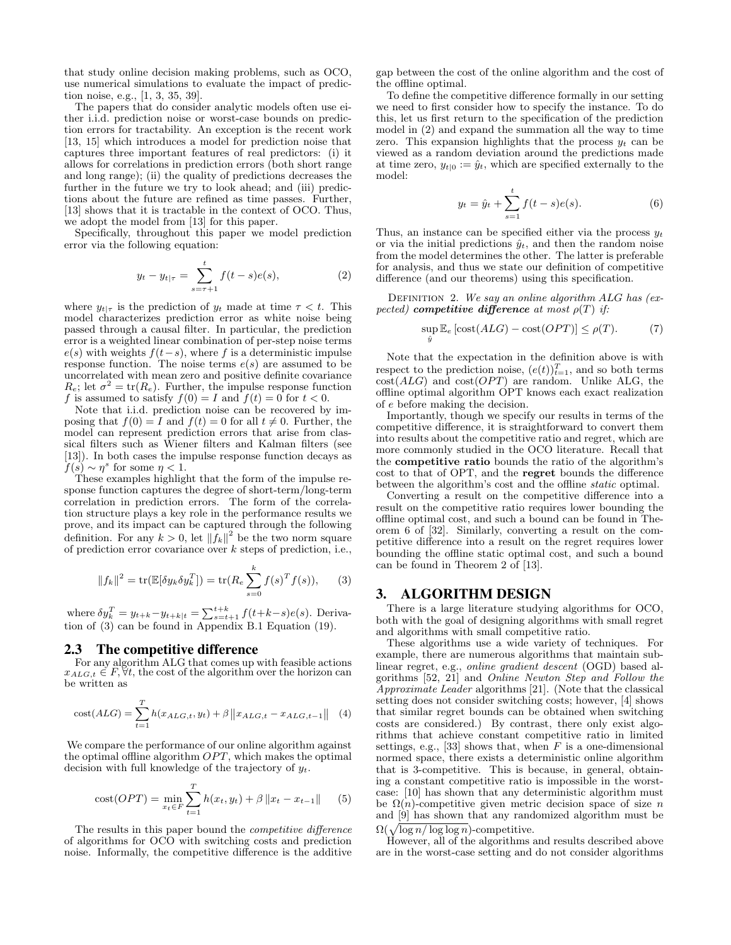that study online decision making problems, such as OCO, use numerical simulations to evaluate the impact of prediction noise, e.g., [1, 3, 35, 39].

The papers that do consider analytic models often use either i.i.d. prediction noise or worst-case bounds on prediction errors for tractability. An exception is the recent work [13, 15] which introduces a model for prediction noise that captures three important features of real predictors: (i) it allows for correlations in prediction errors (both short range and long range); (ii) the quality of predictions decreases the further in the future we try to look ahead; and (iii) predictions about the future are refined as time passes. Further, [13] shows that it is tractable in the context of OCO. Thus, we adopt the model from [13] for this paper.

Specifically, throughout this paper we model prediction error via the following equation:

$$
y_t - y_{t|\tau} = \sum_{s=\tau+1}^t f(t-s)e(s),
$$
 (2)

where  $y_{t|\tau}$  is the prediction of  $y_t$  made at time  $\tau < t$ . This model characterizes prediction error as white noise being passed through a causal filter. In particular, the prediction error is a weighted linear combination of per-step noise terms  $e(s)$  with weights  $f(t-s)$ , where f is a deterministic impulse response function. The noise terms  $e(s)$  are assumed to be uncorrelated with mean zero and positive definite covariance  $R_e$ ; let  $\sigma^2 = \text{tr}(R_e)$ . Further, the impulse response function f is assumed to satisfy  $f(0) = I$  and  $f(t) = 0$  for  $t < 0$ .

Note that i.i.d. prediction noise can be recovered by imposing that  $f(0) = I$  and  $f(t) = 0$  for all  $t \neq 0$ . Further, the model can represent prediction errors that arise from classical filters such as Wiener filters and Kalman filters (see [13]). In both cases the impulse response function decays as  $f(s) \sim \eta^s$  for some  $\eta < 1$ .

These examples highlight that the form of the impulse response function captures the degree of short-term/long-term correlation in prediction errors. The form of the correlation structure plays a key role in the performance results we prove, and its impact can be captured through the following definition. For any  $k > 0$ , let  $|| f_k ||^2$  be the two norm square of prediction error covariance over k steps of prediction, i.e.,

$$
||f_k||^2 = \text{tr}(\mathbb{E}[\delta y_k \delta y_k^T]) = \text{tr}(R_e \sum_{s=0}^k f(s)^T f(s)), \qquad (3)
$$

where  $\delta y_k^T = y_{t+k} - y_{t+k|t} = \sum_{s=t+1}^{t+k} f(t+k-s)e(s)$ . Derivation of (3) can be found in Appendix B.1 Equation (19).

#### 2.3 The competitive difference

For any algorithm ALG that comes up with feasible actions  $x_{ALG,t} \in F$ ,  $\forall t$ , the cost of the algorithm over the horizon can be written as

cost
$$
(ALG) = \sum_{t=1}^{T} h(x_{ALG,t}, y_t) + \beta ||x_{ALG,t} - x_{ALG,t-1}||
$$
 (4)

We compare the performance of our online algorithm against the optimal offline algorithm  $OPT$ , which makes the optimal decision with full knowledge of the trajectory of  $y_t$ .

cost(*OPT*) = 
$$
\min_{x_t \in F} \sum_{t=1}^{T} h(x_t, y_t) + \beta ||x_t - x_{t-1}||
$$
 (5)

The results in this paper bound the competitive difference of algorithms for OCO with switching costs and prediction noise. Informally, the competitive difference is the additive

gap between the cost of the online algorithm and the cost of the offline optimal.

To define the competitive difference formally in our setting we need to first consider how to specify the instance. To do this, let us first return to the specification of the prediction model in (2) and expand the summation all the way to time zero. This expansion highlights that the process  $y_t$  can be viewed as a random deviation around the predictions made at time zero,  $y_{t|0} := \hat{y}_t$ , which are specified externally to the model:

$$
y_t = \hat{y}_t + \sum_{s=1}^t f(t-s)e(s).
$$
 (6)

Thus, an instance can be specified either via the process  $y_t$ or via the initial predictions  $\hat{y}_t$ , and then the random noise from the model determines the other. The latter is preferable for analysis, and thus we state our definition of competitive difference (and our theorems) using this specification.

DEFINITION 2. We say an online algorithm  $ALG$  has (expected) competitive difference at most  $\rho(T)$  if:

$$
\sup_{\hat{y}} \mathbb{E}_e \left[ \text{cost}(ALG) - \text{cost}(OPT) \right] \le \rho(T). \tag{7}
$$

Note that the expectation in the definition above is with respect to the prediction noise,  $(e(t))_{t=1}^T$ , and so both terms  $cost(ALG)$  and  $cost(OPT)$  are random. Unlike ALG, the offline optimal algorithm OPT knows each exact realization of e before making the decision.

Importantly, though we specify our results in terms of the competitive difference, it is straightforward to convert them into results about the competitive ratio and regret, which are more commonly studied in the OCO literature. Recall that the competitive ratio bounds the ratio of the algorithm's cost to that of OPT, and the regret bounds the difference between the algorithm's cost and the offline static optimal.

Converting a result on the competitive difference into a result on the competitive ratio requires lower bounding the offline optimal cost, and such a bound can be found in Theorem 6 of [32]. Similarly, converting a result on the competitive difference into a result on the regret requires lower bounding the offline static optimal cost, and such a bound can be found in Theorem 2 of [13].

#### 3. ALGORITHM DESIGN

There is a large literature studying algorithms for OCO, both with the goal of designing algorithms with small regret and algorithms with small competitive ratio.

These algorithms use a wide variety of techniques. For example, there are numerous algorithms that maintain sublinear regret, e.g., online gradient descent (OGD) based algorithms [52, 21] and Online Newton Step and Follow the Approximate Leader algorithms [21]. (Note that the classical setting does not consider switching costs; however, [4] shows that similar regret bounds can be obtained when switching costs are considered.) By contrast, there only exist algorithms that achieve constant competitive ratio in limited settings, e.g., [33] shows that, when  $F$  is a one-dimensional normed space, there exists a deterministic online algorithm that is 3-competitive. This is because, in general, obtaining a constant competitive ratio is impossible in the worstcase: [10] has shown that any deterministic algorithm must be  $\Omega(n)$ -competitive given metric decision space of size n and [9] has shown that any randomized algorithm must be  $\Omega(\sqrt{\log n/\log\log n})$ -competitive.

However, all of the algorithms and results described above are in the worst-case setting and do not consider algorithms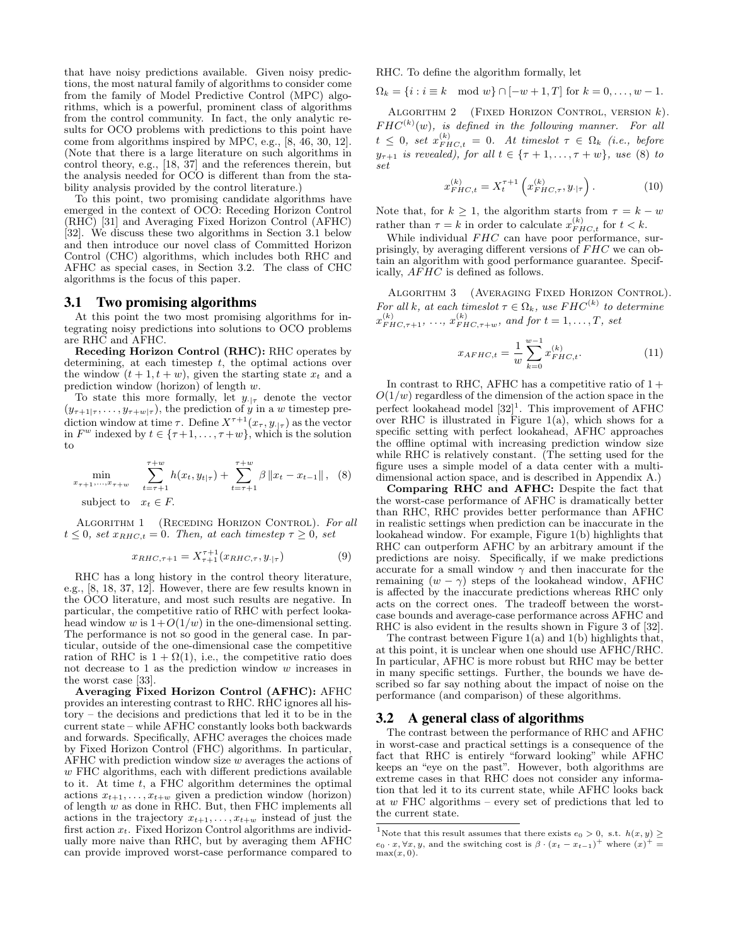that have noisy predictions available. Given noisy predictions, the most natural family of algorithms to consider come from the family of Model Predictive Control (MPC) algorithms, which is a powerful, prominent class of algorithms from the control community. In fact, the only analytic results for OCO problems with predictions to this point have come from algorithms inspired by MPC, e.g., [8, 46, 30, 12]. (Note that there is a large literature on such algorithms in control theory, e.g., [18, 37] and the references therein, but the analysis needed for OCO is different than from the stability analysis provided by the control literature.)

To this point, two promising candidate algorithms have emerged in the context of OCO: Receding Horizon Control (RHC) [31] and Averaging Fixed Horizon Control (AFHC) [32]. We discuss these two algorithms in Section 3.1 below and then introduce our novel class of Committed Horizon Control (CHC) algorithms, which includes both RHC and AFHC as special cases, in Section 3.2. The class of CHC algorithms is the focus of this paper.

#### 3.1 Two promising algorithms

At this point the two most promising algorithms for integrating noisy predictions into solutions to OCO problems are RHC and AFHC.

Receding Horizon Control (RHC): RHC operates by determining, at each timestep  $t$ , the optimal actions over the window  $(t + 1, t + w)$ , given the starting state  $x_t$  and a prediction window (horizon) of length w.

To state this more formally, let  $y_{\cdot|\tau}$  denote the vector  $(y_{\tau+1|\tau}, \ldots, y_{\tau+w|\tau})$ , the prediction of y in a w timestep prediction window at time  $\tau$ . Define  $X^{\tau+1}(x_{\tau}, y_{\cdot | \tau})$  as the vector in  $F^w$  indexed by  $t \in \{\tau+1,\ldots,\tau+w\}$ , which is the solution to

$$
\min_{x_{\tau+1},...,x_{\tau+w}} \sum_{t=\tau+1}^{\tau+w} h(x_t, y_{t|\tau}) + \sum_{t=\tau+1}^{\tau+w} \beta \|x_t - x_{t-1}\|, \quad (8)
$$
\nsubject to  $x_t \in F$ .

ALGORITHM 1 (RECEDING HORIZON CONTROL). For all  $t \leq 0$ , set  $x_{RHC,t} = 0$ . Then, at each timestep  $\tau \geq 0$ , set

$$
x_{RHC,\tau+1} = X_{\tau+1}^{\tau+1} (x_{RHC,\tau}, y_{\cdot|\tau})
$$
 (9)

RHC has a long history in the control theory literature, e.g., [8, 18, 37, 12]. However, there are few results known in the OCO literature, and most such results are negative. In particular, the competitive ratio of RHC with perfect lookahead window w is  $1+O(1/w)$  in the one-dimensional setting. The performance is not so good in the general case. In particular, outside of the one-dimensional case the competitive ration of RHC is  $1 + \Omega(1)$ , i.e., the competitive ratio does not decrease to 1 as the prediction window w increases in the worst case [33].

Averaging Fixed Horizon Control (AFHC): AFHC provides an interesting contrast to RHC. RHC ignores all history – the decisions and predictions that led it to be in the current state – while AFHC constantly looks both backwards and forwards. Specifically, AFHC averages the choices made by Fixed Horizon Control (FHC) algorithms. In particular, AFHC with prediction window size  $w$  averages the actions of w FHC algorithms, each with different predictions available to it. At time t, a FHC algorithm determines the optimal actions  $x_{t+1}, \ldots, x_{t+w}$  given a prediction window (horizon) of length  $w$  as done in RHC. But, then FHC implements all actions in the trajectory  $x_{t+1}, \ldots, x_{t+w}$  instead of just the first action  $x_t$ . Fixed Horizon Control algorithms are individually more naive than RHC, but by averaging them AFHC can provide improved worst-case performance compared to

RHC. To define the algorithm formally, let

$$
\Omega_k = \{i : i \equiv k \mod w\} \cap [-w+1, T]
$$
 for  $k = 0, ..., w-1$ .

ALGORITHM 2 (FIXED HORIZON CONTROL, VERSION  $k$ ).  $FHC^{(k)}(w)$ , is defined in the following manner. For all  $t \leq 0$ , set  $x_{FHC,t}^{(k)} = 0$ . At timeslot  $\tau \in \Omega_k$  (i.e., before  $y_{\tau+1}$  is revealed), for all  $t \in {\tau+1, ..., \tau+w}$ , use (8) to set

$$
x_{FHC,t}^{(k)} = X_t^{\tau+1} \left( x_{FHC,\tau}^{(k)}, y_{\cdot|\tau} \right). \tag{10}
$$

Note that, for  $k \geq 1$ , the algorithm starts from  $\tau = k - w$ rather than  $\tau = k$  in order to calculate  $x_{FHC,t}^{(k)}$  for  $t < k$ .

While individual  $FHC$  can have poor performance, surprisingly, by averaging different versions of  $FHC$  we can obtain an algorithm with good performance guarantee. Specifically, AF HC is defined as follows.

Algorithm 3 (Averaging Fixed Horizon Control). For all k, at each timeslot  $\tau \in \Omega_k$ , use  $FHC^{(k)}$  to determine  $x_{FHC,\tau+1}^{(k)}, \ldots, x_{FHC,\tau+w}^{(k)},$  and for  $t = 1, \ldots, T$ , set

$$
x_{AFHC,t} = \frac{1}{w} \sum_{k=0}^{w-1} x_{FHC,t}^{(k)}.
$$
 (11)

In contrast to RHC, AFHC has a competitive ratio of  $1 +$  $O(1/w)$  regardless of the dimension of the action space in the perfect lookahead model  $[32]$ <sup>1</sup>. This improvement of AFHC over RHC is illustrated in Figure 1(a), which shows for a specific setting with perfect lookahead, AFHC approaches the offline optimal with increasing prediction window size while RHC is relatively constant. (The setting used for the figure uses a simple model of a data center with a multidimensional action space, and is described in Appendix A.)

Comparing RHC and AFHC: Despite the fact that the worst-case performance of AFHC is dramatically better than RHC, RHC provides better performance than AFHC in realistic settings when prediction can be inaccurate in the lookahead window. For example, Figure 1(b) highlights that RHC can outperform AFHC by an arbitrary amount if the predictions are noisy. Specifically, if we make predictions accurate for a small window  $\gamma$  and then inaccurate for the remaining  $(w - \gamma)$  steps of the lookahead window, AFHC is affected by the inaccurate predictions whereas RHC only acts on the correct ones. The tradeoff between the worstcase bounds and average-case performance across AFHC and RHC is also evident in the results shown in Figure 3 of [32].

The contrast between Figure  $1(a)$  and  $1(b)$  highlights that, at this point, it is unclear when one should use AFHC/RHC. In particular, AFHC is more robust but RHC may be better in many specific settings. Further, the bounds we have described so far say nothing about the impact of noise on the performance (and comparison) of these algorithms.

## 3.2 A general class of algorithms

The contrast between the performance of RHC and AFHC in worst-case and practical settings is a consequence of the fact that RHC is entirely "forward looking" while AFHC keeps an "eye on the past". However, both algorithms are extreme cases in that RHC does not consider any information that led it to its current state, while AFHC looks back at w FHC algorithms – every set of predictions that led to the current state.

 $^1$  Note that this result assumes that there exists  $e_0>0, \text{ s.t. } h(x,y)\geq$  $e_0 \cdot x, \forall x, y$ , and the switching cost is  $\beta \cdot (x_t - x_{t-1})^+$  where  $(x)^+$  $max(x, 0)$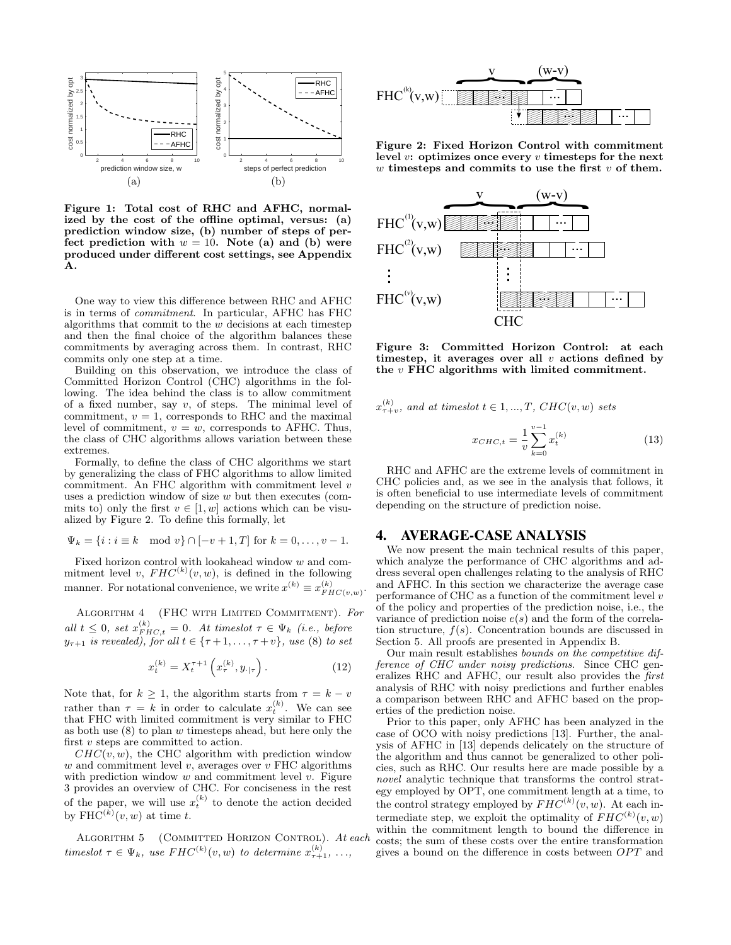

Figure 1: Total cost of RHC and AFHC, normalized by the cost of the offline optimal, versus: (a) prediction window size, (b) number of steps of perfect prediction with  $w = 10$ . Note (a) and (b) were produced under different cost settings, see Appendix A.

One way to view this difference between RHC and AFHC is in terms of commitment. In particular, AFHC has FHC algorithms that commit to the  $w$  decisions at each timestep and then the final choice of the algorithm balances these commitments by averaging across them. In contrast, RHC commits only one step at a time.

Building on this observation, we introduce the class of Committed Horizon Control (CHC) algorithms in the following. The idea behind the class is to allow commitment of a fixed number, say  $v$ , of steps. The minimal level of commitment,  $v = 1$ , corresponds to RHC and the maximal level of commitment,  $v = w$ , corresponds to AFHC. Thus, the class of CHC algorithms allows variation between these extremes.

Formally, to define the class of CHC algorithms we start by generalizing the class of FHC algorithms to allow limited commitment. An FHC algorithm with commitment level v uses a prediction window of size  $w$  but then executes (commits to) only the first  $v \in [1, w]$  actions which can be visualized by Figure 2. To define this formally, let

$$
\Psi_k = \{i : i \equiv k \mod v\} \cap [-v+1, T]
$$
 for  $k = 0, ..., v-1$ .

Fixed horizon control with lookahead window w and commitment level v,  $FHC^{(k)}(v, w)$ , is defined in the following manner. For notational convenience, we write  $x^{(k)} \equiv x_{FHC(v,w)}^{(k)}$ .

Algorithm 4 (FHC with Limited Commitment). For all  $t \leq 0$ , set  $x_{FHC,t}^{(k)} = 0$ . At timeslot  $\tau \in \Psi_k$  (i.e., before  $y_{\tau+1}$  is revealed), for all  $t \in {\tau+1, \ldots, \tau+v}$ , use (8) to set

$$
x_t^{(k)} = X_t^{\tau+1} \left( x_\tau^{(k)}, y_{\cdot|\tau} \right). \tag{12}
$$

Note that, for  $k \geq 1$ , the algorithm starts from  $\tau = k - v$ rather than  $\tau = k$  in order to calculate  $x_t^{(k)}$ . We can see that FHC with limited commitment is very similar to FHC as both use  $(8)$  to plan w timesteps ahead, but here only the first  $v$  steps are committed to action.

 $CHC(v, w)$ , the CHC algorithm with prediction window w and commitment level  $v$ , averages over  $v$  FHC algorithms with prediction window  $w$  and commitment level  $v$ . Figure 3 provides an overview of CHC. For conciseness in the rest of the paper, we will use  $x_t^{(k)}$  to denote the action decided by  $\text{FHC}^{(k)}(v,w)$  at time t.

ALGORITHM 5 (COMMITTED HORIZON CONTROL). At each timeslot  $\tau \in \Psi_k$ , use  $FHC^{(k)}(v, w)$  to determine  $x_{\tau+1}^{(k)}, \ldots,$ 



Figure 2: Fixed Horizon Control with commitment level  $v:$  optimizes once every  $v$  timesteps for the next  $w$  timesteps and commits to use the first  $v$  of them.



Figure 3: Committed Horizon Control: at each timestep, it averages over all  $v$  actions defined by the  $v$  FHC algorithms with limited commitment.

$$
x_{\tau+v}^{(k)}, \text{ and at timeslot } t \in 1, ..., T, CHC(v, w) \text{ sets}
$$

$$
x_{CHC,t} = \frac{1}{v} \sum_{k=0}^{v-1} x_t^{(k)} \tag{13}
$$

RHC and AFHC are the extreme levels of commitment in CHC policies and, as we see in the analysis that follows, it is often beneficial to use intermediate levels of commitment depending on the structure of prediction noise.

#### 4. AVERAGE-CASE ANALYSIS

We now present the main technical results of this paper, which analyze the performance of CHC algorithms and address several open challenges relating to the analysis of RHC and AFHC. In this section we characterize the average case performance of CHC as a function of the commitment level  $v$ of the policy and properties of the prediction noise, i.e., the variance of prediction noise  $e(s)$  and the form of the correlation structure,  $f(s)$ . Concentration bounds are discussed in Section 5. All proofs are presented in Appendix B.

Our main result establishes bounds on the competitive difference of CHC under noisy predictions. Since CHC generalizes RHC and AFHC, our result also provides the first analysis of RHC with noisy predictions and further enables a comparison between RHC and AFHC based on the properties of the prediction noise.

Prior to this paper, only AFHC has been analyzed in the case of OCO with noisy predictions [13]. Further, the analysis of AFHC in [13] depends delicately on the structure of the algorithm and thus cannot be generalized to other policies, such as RHC. Our results here are made possible by a novel analytic technique that transforms the control strategy employed by OPT, one commitment length at a time, to the control strategy employed by  $FHC^{(k)}(v, w)$ . At each intermediate step, we exploit the optimality of  $FHC^{(k)}(v, w)$ within the commitment length to bound the difference in costs; the sum of these costs over the entire transformation gives a bound on the difference in costs between  $OPT$  and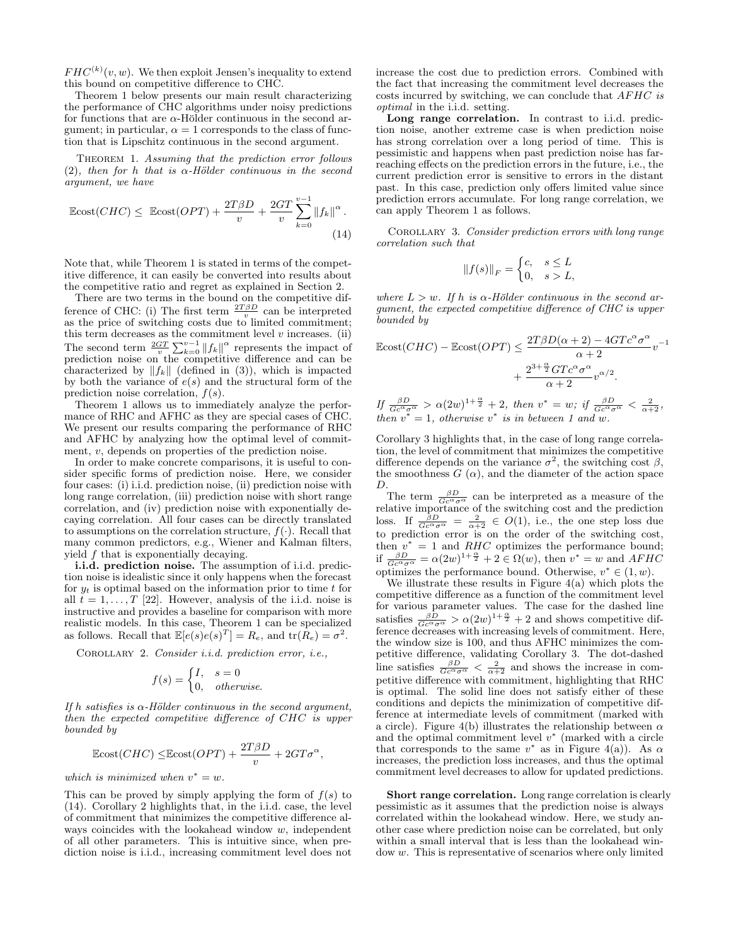$FHC^{(k)}(v, w)$ . We then exploit Jensen's inequality to extend this bound on competitive difference to CHC.

Theorem 1 below presents our main result characterizing the performance of CHC algorithms under noisy predictions for functions that are  $\alpha$ -Hölder continuous in the second argument; in particular,  $\alpha = 1$  corresponds to the class of function that is Lipschitz continuous in the second argument.

THEOREM 1. Assuming that the prediction error follows (2), then for h that is  $\alpha$ -Hölder continuous in the second argument, we have

$$
\mathbb{E} \text{cost}(CHC) \leq \mathbb{E} \text{cost}(OPT) + \frac{2T\beta D}{v} + \frac{2GT}{v} \sum_{k=0}^{v-1} ||f_k||^{\alpha}.
$$
\n(14)

Note that, while Theorem 1 is stated in terms of the competitive difference, it can easily be converted into results about the competitive ratio and regret as explained in Section 2.

There are two terms in the bound on the competitive difference of CHC: (i) The first term  $\frac{2T\beta D}{v}$  can be interpreted as the price of switching costs due to limited commitment; this term decreases as the commitment level  $v$  increases. (ii) The second term  $\frac{2GT}{v}\sum_{k=0}^{v-1} ||f_k||^{\alpha}$  represents the impact of prediction noise on the competitive difference and can be characterized by  $||f_k||$  (defined in (3)), which is impacted by both the variance of  $e(s)$  and the structural form of the prediction noise correlation,  $f(s)$ .

Theorem 1 allows us to immediately analyze the performance of RHC and AFHC as they are special cases of CHC. We present our results comparing the performance of RHC and AFHC by analyzing how the optimal level of commitment, v, depends on properties of the prediction noise.

In order to make concrete comparisons, it is useful to consider specific forms of prediction noise. Here, we consider four cases: (i) i.i.d. prediction noise, (ii) prediction noise with long range correlation, (iii) prediction noise with short range correlation, and (iv) prediction noise with exponentially decaying correlation. All four cases can be directly translated to assumptions on the correlation structure,  $f(\cdot)$ . Recall that many common predictors, e.g., Wiener and Kalman filters, yield f that is exponentially decaying.

i.i.d. prediction noise. The assumption of i.i.d. prediction noise is idealistic since it only happens when the forecast for  $y_t$  is optimal based on the information prior to time t for all  $t = 1, \ldots, T$  [22]. However, analysis of the i.i.d. noise is instructive and provides a baseline for comparison with more realistic models. In this case, Theorem 1 can be specialized as follows. Recall that  $\mathbb{E}[e(s)e(s)^T] = R_e$ , and  $tr(R_e) = \sigma^2$ .

Corollary 2. Consider i.i.d. prediction error, i.e.,

$$
f(s) = \begin{cases} I, & s = 0\\ 0, & otherwise. \end{cases}
$$

If h satisfies is  $\alpha$ -Hölder continuous in the second argument, then the expected competitive difference of CHC is upper bounded by

$$
\mathbb{E} \text{cost}(CHC) \leq \mathbb{E} \text{cost}(OPT) + \frac{2T\beta D}{v} + 2GT\sigma^{\alpha},
$$

which is minimized when  $v^* = w$ .

This can be proved by simply applying the form of  $f(s)$  to (14). Corollary 2 highlights that, in the i.i.d. case, the level of commitment that minimizes the competitive difference always coincides with the lookahead window  $w$ , independent of all other parameters. This is intuitive since, when prediction noise is i.i.d., increasing commitment level does not

increase the cost due to prediction errors. Combined with the fact that increasing the commitment level decreases the costs incurred by switching, we can conclude that  $AFHC$  is optimal in the i.i.d. setting.

Long range correlation. In contrast to i.i.d. prediction noise, another extreme case is when prediction noise has strong correlation over a long period of time. This is pessimistic and happens when past prediction noise has farreaching effects on the prediction errors in the future, i.e., the current prediction error is sensitive to errors in the distant past. In this case, prediction only offers limited value since prediction errors accumulate. For long range correlation, we can apply Theorem 1 as follows.

COROLLARY 3. Consider prediction errors with long range correlation such that

$$
||f(s)||_F = \begin{cases} c, & s \le L \\ 0, & s > L, \end{cases}
$$

where  $L > w$ . If h is  $\alpha$ -Hölder continuous in the second argument, the expected competitive difference of CHC is upper bounded by

$$
\mathbb{E} \text{cost}(CHC) - \mathbb{E} \text{cost}(OPT) \le \frac{2T\beta D(\alpha + 2) - 4GTc^{\alpha} \sigma^{\alpha}}{\alpha + 2} v^{-1} + \frac{2^{3 + \frac{\alpha}{2}}GTc^{\alpha} \sigma^{\alpha}}{\alpha + 2} v^{\alpha/2}.
$$

If  $\frac{\beta D}{Gc^{\alpha}\sigma^{\alpha}} > \alpha(2w)^{1+\frac{\alpha}{2}} + 2$ , then  $v^* = w$ ; if  $\frac{\beta D}{Gc^{\alpha}\sigma^{\alpha}} < \frac{2}{\alpha+2}$ , then  $v^* = 1$ , otherwise  $v^*$  is in between 1 and w.

Corollary 3 highlights that, in the case of long range correlation, the level of commitment that minimizes the competitive difference depends on the variance  $\sigma^2$ , the switching cost  $\beta$ , the smoothness  $G(\alpha)$ , and the diameter of the action space D.

The term  $\frac{\beta D}{Gc^{\alpha} \sigma^{\alpha}}$  can be interpreted as a measure of the relative importance of the switching cost and the prediction loss. If  $\frac{\beta D}{Gc^{\alpha}\sigma^{\alpha}} = \frac{2}{\alpha+2} \in O(1)$ , i.e., the one step loss due to prediction error is on the order of the switching cost, then  $v^* = 1$  and RHC optimizes the performance bound; if  $\frac{\beta D}{Gc^{\alpha}\sigma^{\alpha}} = \alpha(2w)^{1+\frac{\alpha}{2}} + 2 \in \Omega(w)$ , then  $v^* = w$  and  $AFHC$ optimizes the performance bound. Otherwise,  $v^* \in (1, w)$ .

We illustrate these results in Figure  $4(a)$  which plots the competitive difference as a function of the commitment level for various parameter values. The case for the dashed line satisfies  $\frac{\beta D}{Gc^{\alpha}\sigma^{\alpha}} > \alpha (2w)^{1+\frac{\alpha}{2}} + 2$  and shows competitive difference decreases with increasing levels of commitment. Here, the window size is 100, and thus AFHC minimizes the competitive difference, validating Corollary 3. The dot-dashed line satisfies  $\frac{\beta D}{Gc^{\alpha}\sigma^{\alpha}} < \frac{2}{\alpha+2}$  and shows the increase in competitive difference with commitment, highlighting that RHC is optimal. The solid line does not satisfy either of these conditions and depicts the minimization of competitive difference at intermediate levels of commitment (marked with a circle). Figure 4(b) illustrates the relationship between  $\alpha$ and the optimal commitment level  $v^*$  (marked with a circle that corresponds to the same  $v^*$  as in Figure 4(a)). As  $\alpha$ increases, the prediction loss increases, and thus the optimal commitment level decreases to allow for updated predictions.

Short range correlation. Long range correlation is clearly pessimistic as it assumes that the prediction noise is always correlated within the lookahead window. Here, we study another case where prediction noise can be correlated, but only within a small interval that is less than the lookahead window w. This is representative of scenarios where only limited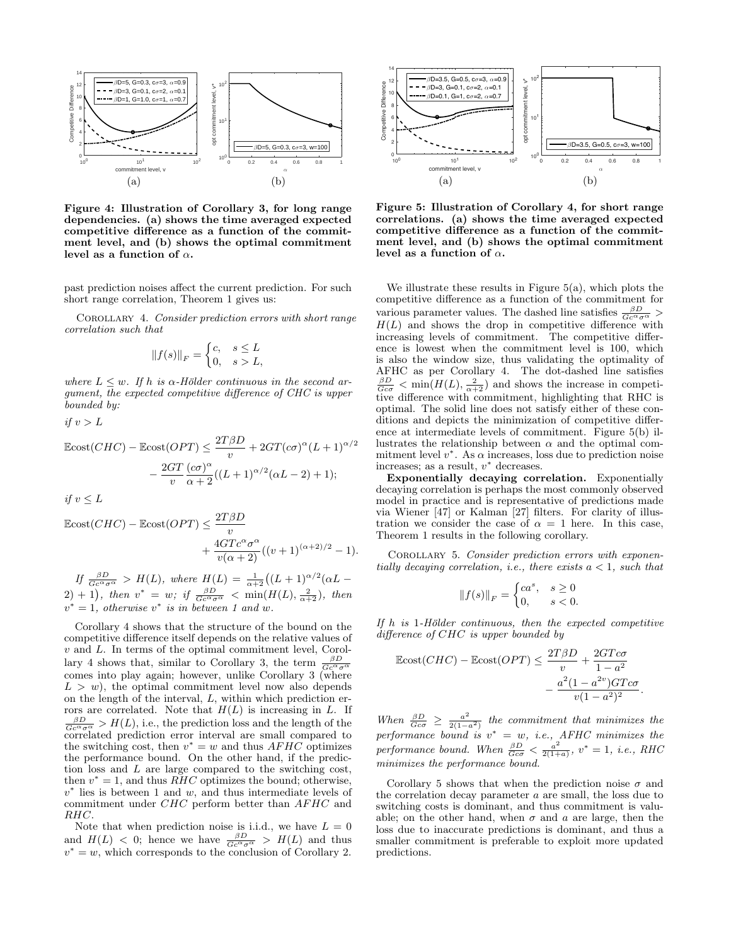

Figure 4: Illustration of Corollary 3, for long range dependencies. (a) shows the time averaged expected competitive difference as a function of the commitment level, and (b) shows the optimal commitment level as a function of  $\alpha$ .

past prediction noises affect the current prediction. For such short range correlation, Theorem 1 gives us:

COROLLARY 4. Consider prediction errors with short range correlation such that

$$
||f(s)||_F = \begin{cases} c, & s \le L \\ 0, & s > L, \end{cases}
$$

where  $L \leq w$ . If h is  $\alpha$ -Hölder continuous in the second argument, the expected competitive difference of CHC is upper bounded by:

if  $v > L$ 

$$
\begin{aligned} \text{Ecost}(CHC) - \text{Ecost}(OPT) &\leq \frac{2T\beta D}{v} + 2GT(c\sigma)^{\alpha} (L+1)^{\alpha/2} \\ &- \frac{2GT}{v} \frac{(c\sigma)^{\alpha}}{\alpha+2} ((L+1)^{\alpha/2} (\alpha L-2) + 1); \end{aligned}
$$
\nif  $v \leq L$ 

$$
\begin{aligned} \text{Ecost}(CHC) - \text{Ecost}(OPT) &\leq \frac{2T\beta D}{v} \\ &+ \frac{4GTc^{\alpha}\sigma^{\alpha}}{v(\alpha+2)}((v+1)^{(\alpha+2)/2} - 1). \end{aligned}
$$

If  $\frac{\beta D}{Gc^{\alpha}\sigma^{\alpha}} > H(L)$ , where  $H(L) = \frac{1}{\alpha+2}((L+1)^{\alpha/2}(\alpha L (2) + 1$ , then  $v^* = w$ ; if  $\frac{\beta D}{Gc^{\alpha}\sigma^{\alpha}} < \min(H(L), \frac{2}{\alpha+2})$ , then  $v^* = 1$ , otherwise  $v^*$  is in between 1 and w.

Corollary 4 shows that the structure of the bound on the competitive difference itself depends on the relative values of  $v$  and  $L$ . In terms of the optimal commitment level, Corollary 4 shows that, similar to Corollary 3, the term  $\frac{\beta D}{Gc^{\alpha}\sigma^{\alpha}}$ comes into play again; however, unlike Corollary 3 (where  $L > w$ ), the optimal commitment level now also depends on the length of the interval, L, within which prediction errors are correlated. Note that  $H(L)$  is increasing in L. If  $\frac{\beta D}{Gc^{\alpha}\sigma^{\alpha}} > H(L)$ , i.e., the prediction loss and the length of the correlated prediction error interval are small compared to the switching cost, then  $v^* = w$  and thus AFHC optimizes the performance bound. On the other hand, if the prediction loss and L are large compared to the switching cost, then  $v^* = 1$ , and thus  $\overline{R} \overline{H} C$  optimizes the bound; otherwise,  $v^*$  lies is between 1 and w, and thus intermediate levels of commitment under CHC perform better than AFHC and RHC.

Note that when prediction noise is i.i.d., we have  $L = 0$ and  $H(L) < 0$ ; hence we have  $\frac{\beta D}{Gc^{\alpha}\sigma^{\alpha}} > H(L)$  and thus  $v^* = w$ , which corresponds to the conclusion of Corollary 2.



Figure 5: Illustration of Corollary 4, for short range correlations. (a) shows the time averaged expected competitive difference as a function of the commitment level, and (b) shows the optimal commitment level as a function of  $\alpha$ .

We illustrate these results in Figure 5(a), which plots the competitive difference as a function of the commitment for various parameter values. The dashed line satisfies  $\frac{\beta D}{Gc^{\alpha}\sigma^{\alpha}}$  >  $H(L)$  and shows the drop in competitive difference with increasing levels of commitment. The competitive difference is lowest when the commitment level is 100, which is also the window size, thus validating the optimality of AFHC as per Corollary 4. The dot-dashed line satisfies  $\frac{\beta D}{Gc\sigma}$  < min( $H(L)$ ,  $\frac{2}{\alpha+2}$ ) and shows the increase in competitive difference with commitment, highlighting that RHC is optimal. The solid line does not satisfy either of these conditions and depicts the minimization of competitive difference at intermediate levels of commitment. Figure 5(b) illustrates the relationship between  $\alpha$  and the optimal commitment level  $v^*$ . As  $\alpha$  increases, loss due to prediction noise increases; as a result,  $v^*$  decreases.

Exponentially decaying correlation. Exponentially decaying correlation is perhaps the most commonly observed model in practice and is representative of predictions made via Wiener [47] or Kalman [27] filters. For clarity of illustration we consider the case of  $\alpha = 1$  here. In this case, Theorem 1 results in the following corollary.

COROLLARY 5. Consider prediction errors with exponentially decaying correlation, i.e., there exists  $a < 1$ , such that

$$
||f(s)||_F = \begin{cases} ca^s, & s \ge 0\\ 0, & s < 0. \end{cases}
$$

If  $h$  is 1-Hölder continuous, then the expected competitive difference of CHC is upper bounded by

$$
\begin{aligned} \text{Ecost}(CHC) - \text{Ecost}(OPT) &\leq \frac{2T\beta D}{v} + \frac{2GTc\sigma}{1 - a^2} \\ &- \frac{a^2(1 - a^{2v})GTc\sigma}{v(1 - a^2)^2} \end{aligned}
$$

.

When  $\frac{\beta D}{Gc\sigma} \geq \frac{a^2}{2(1-a^2)}$  the commitment that minimizes the performance bound is  $v^* = w$ , i.e., AFHC minimizes the performance bound. When  $\frac{\beta D}{Gc\sigma} < \frac{a^2}{2(1+1)}$  $\frac{a^2}{2(1+a)}$ ,  $v^* = 1$ , *i.e.*, RHC minimizes the performance bound.

Corollary 5 shows that when the prediction noise  $\sigma$  and the correlation decay parameter  $a$  are small, the loss due to switching costs is dominant, and thus commitment is valuable; on the other hand, when  $\sigma$  and  $a$  are large, then the loss due to inaccurate predictions is dominant, and thus a smaller commitment is preferable to exploit more updated predictions.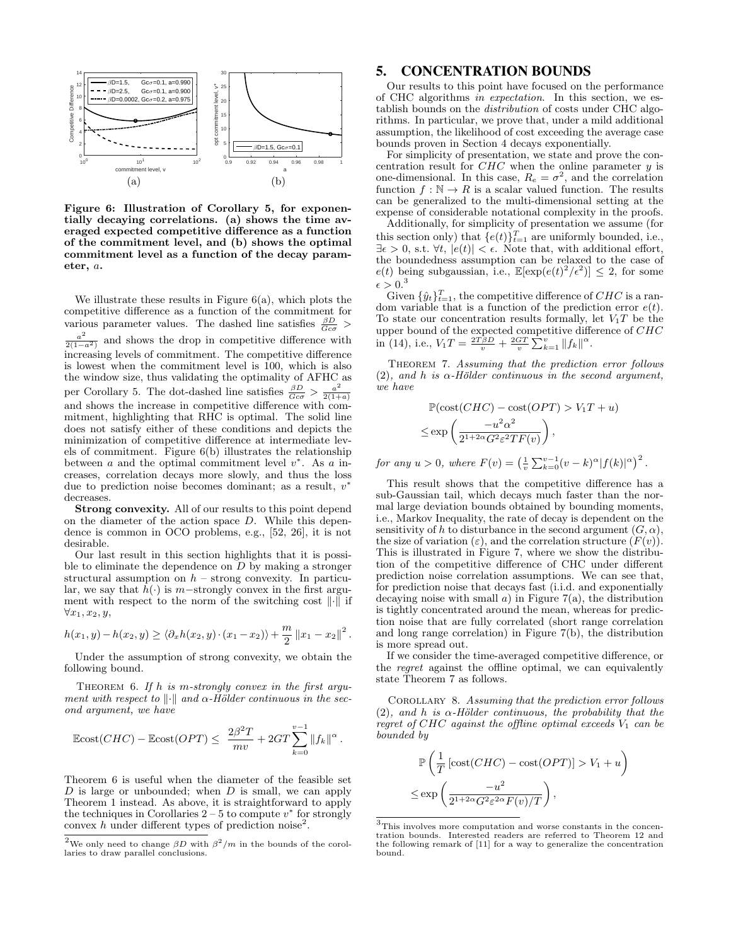

Figure 6: Illustration of Corollary 5, for exponentially decaying correlations. (a) shows the time averaged expected competitive difference as a function of the commitment level, and (b) shows the optimal commitment level as a function of the decay parameter, a.

We illustrate these results in Figure  $6(a)$ , which plots the competitive difference as a function of the commitment for various parameter values. The dashed line satisfies  $\frac{\beta D}{Gc\sigma}$  >  $\frac{a^2}{2(1-a^2)}$  and shows the drop in competitive difference with increasing levels of commitment. The competitive difference is lowest when the commitment level is 100, which is also the window size, thus validating the optimality of AFHC as per Corollary 5. The dot-dashed line satisfies  $\frac{\beta D}{Gc\sigma} > \frac{a^2}{2(1+1)^2}$  $2(1+a)$ and shows the increase in competitive difference with commitment, highlighting that RHC is optimal. The solid line does not satisfy either of these conditions and depicts the minimization of competitive difference at intermediate levels of commitment. Figure 6(b) illustrates the relationship between  $a$  and the optimal commitment level  $v^*$ . As  $a$  increases, correlation decays more slowly, and thus the loss due to prediction noise becomes dominant; as a result,  $v^*$ decreases.

Strong convexity. All of our results to this point depend on the diameter of the action space D. While this dependence is common in OCO problems, e.g., [52, 26], it is not desirable.

Our last result in this section highlights that it is possible to eliminate the dependence on  $D$  by making a stronger structural assumption on  $h$  – strong convexity. In particular, we say that  $\bar{h}(\cdot)$  is m−strongly convex in the first argument with respect to the norm of the switching cost  $\|\cdot\|$  if  $\forall x_1, x_2, y,$ 

$$
h(x_1, y) - h(x_2, y) \ge \langle \partial_x h(x_2, y) \cdot (x_1 - x_2) \rangle + \frac{m}{2} ||x_1 - x_2||^2.
$$

Under the assumption of strong convexity, we obtain the following bound.

THEOREM 6. If  $h$  is m-strongly convex in the first argument with respect to  $\|\cdot\|$  and  $\alpha$ -Hölder continuous in the second argument, we have

$$
\mathbb{E} \text{cost}(CHC) - \mathbb{E} \text{cost}(OPT) \le \frac{2\beta^2 T}{mv} + 2GT \sum_{k=0}^{v-1} ||f_k||^{\alpha}.
$$

Theorem 6 is useful when the diameter of the feasible set  $D$  is large or unbounded; when  $D$  is small, we can apply Theorem 1 instead. As above, it is straightforward to apply the techniques in Corollaries  $2 - 5$  to compute  $v^*$  for strongly convex h under different types of prediction noise<sup>2</sup>.

## 5. CONCENTRATION BOUNDS

Our results to this point have focused on the performance of CHC algorithms in expectation. In this section, we establish bounds on the distribution of costs under CHC algorithms. In particular, we prove that, under a mild additional assumption, the likelihood of cost exceeding the average case bounds proven in Section 4 decays exponentially.

For simplicity of presentation, we state and prove the concentration result for  $CHC$  when the online parameter y is one-dimensional. In this case,  $R_e = \sigma^2$ , and the correlation function  $f : \mathbb{N} \to R$  is a scalar valued function. The results can be generalized to the multi-dimensional setting at the expense of considerable notational complexity in the proofs.

Additionally, for simplicity of presentation we assume (for this section only) that  $\{e(t)\}_{t=1}^T$  are uniformly bounded, i.e.,  $\exists \epsilon > 0$ , s.t.  $\forall t, |\epsilon(t)| < \epsilon$ . Note that, with additional effort, the boundedness assumption can be relaxed to the case of  $e(t)$  being subgaussian, i.e.,  $\mathbb{E}[\exp(e(t)^2/\epsilon^2)] \leq 2$ , for some  $\epsilon > 0.3$ 

Given  $\{\hat{y}_t\}_{t=1}^T$ , the competitive difference of  $CHC$  is a random variable that is a function of the prediction error  $e(t)$ . To state our concentration results formally, let  $V_1T$  be the upper bound of the expected competitive difference of CHC in (14), i.e.,  $V_1 T = \frac{2T\beta D}{v} + \frac{2GT}{v} \sum_{k=1}^{v} ||f_k||^{\alpha}$ .

THEOREM 7. Assuming that the prediction error follows (2), and h is  $\alpha$ -Hölder continuous in the second argument, we have

$$
\mathbb{P}(\text{cost}(CHC) - \text{cost}(OPT) > V_1T + u)
$$
\n
$$
\leq \exp\left(\frac{-u^2\alpha^2}{2^{1+2\alpha}G^2\varepsilon^2TF(v)}\right),
$$

for any  $u > 0$ , where  $F(v) = \left(\frac{1}{v} \sum_{k=0}^{v-1} (v-k)^{\alpha} |f(k)|^{\alpha}\right)^2$ .

This result shows that the competitive difference has a sub-Gaussian tail, which decays much faster than the normal large deviation bounds obtained by bounding moments, i.e., Markov Inequality, the rate of decay is dependent on the sensitivity of h to disturbance in the second argument  $(G, \alpha)$ , the size of variation ( $\varepsilon$ ), and the correlation structure  $(F(v))$ . This is illustrated in Figure 7, where we show the distribution of the competitive difference of CHC under different prediction noise correlation assumptions. We can see that, for prediction noise that decays fast (i.i.d. and exponentially decaying noise with small  $a$ ) in Figure 7(a), the distribution is tightly concentrated around the mean, whereas for prediction noise that are fully correlated (short range correlation and long range correlation) in Figure 7(b), the distribution is more spread out.

If we consider the time-averaged competitive difference, or the regret against the offline optimal, we can equivalently state Theorem 7 as follows.

Corollary 8. Assuming that the prediction error follows (2), and h is  $\alpha$ -Hölder continuous, the probability that the regret of CHC against the offline optimal exceeds  $V_1$  can be bounded by

$$
\mathbb{P}\left(\frac{1}{T}\left[\text{cost}(CHC) - \text{cost}(OPT)\right] > V_1 + u\right)
$$
\n
$$
\leq \exp\left(\frac{-u^2}{2^{1+2\alpha}G^2\varepsilon^{2\alpha}F(v)/T}\right),
$$

<sup>&</sup>lt;sup>2</sup>We only need to change  $\beta D$  with  $\beta^2/m$  in the bounds of the corollaries to draw parallel conclusions.

 $^3 \mathrm{This}$  involves more computation and worse constants in the concentration bounds. Interested readers are referred to Theorem 12 and the following remark of [11] for a way to generalize the concentration bound.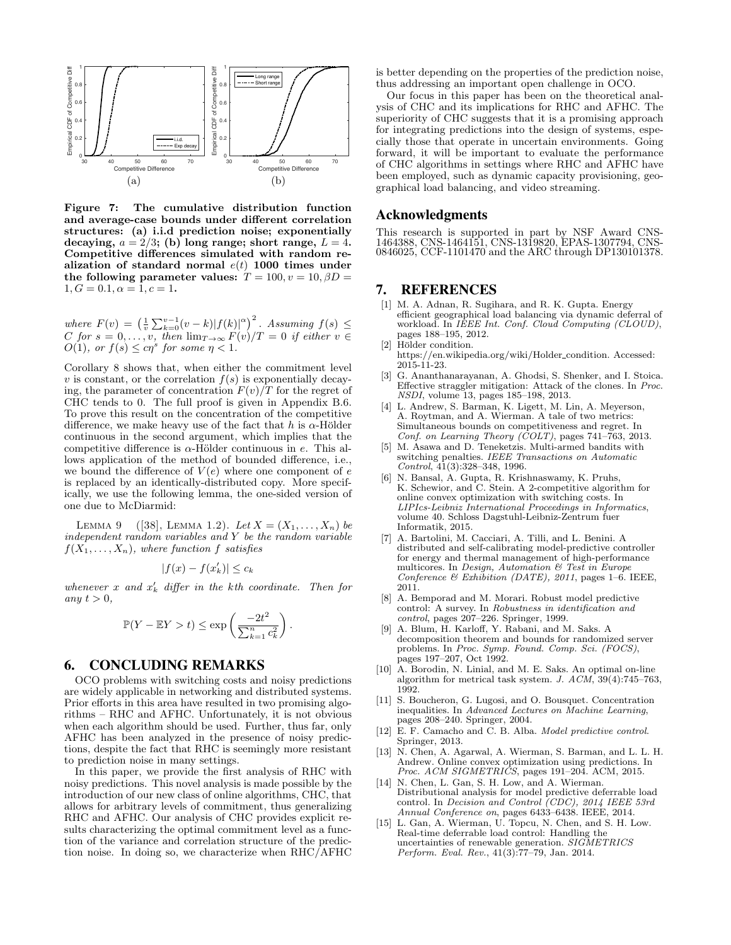

Figure 7: The cumulative distribution function and average-case bounds under different correlation structures: (a) i.i.d prediction noise; exponentially decaying,  $a = 2/3$ ; (b) long range; short range,  $L = 4$ . Competitive differences simulated with random realization of standard normal  $e(t)$  1000 times under the following parameter values:  $T = 100, v = 10, \beta D =$  $1, G = 0.1, \alpha = 1, c = 1.$ 

where  $F(v) = \left(\frac{1}{v}\sum_{k=0}^{v-1}(v-k)|f(k)|^{\alpha}\right)^2$ . Assuming  $f(s) \leq$ C for  $s = 0, \ldots, v$ , then  $\lim_{T \to \infty} F(v)/T = 0$  if either  $v \in$  $O(1)$ , or  $f(s) \leq c\eta^s$  for some  $\eta < 1$ .

Corollary 8 shows that, when either the commitment level v is constant, or the correlation  $f(s)$  is exponentially decaying, the parameter of concentration  $F(v)/T$  for the regret of CHC tends to 0. The full proof is given in Appendix B.6. To prove this result on the concentration of the competitive difference, we make heavy use of the fact that h is  $\alpha$ -Hölder continuous in the second argument, which implies that the competitive difference is  $\alpha$ -Hölder continuous in e. This allows application of the method of bounded difference, i.e., we bound the difference of  $V(e)$  where one component of  $e$ is replaced by an identically-distributed copy. More specifically, we use the following lemma, the one-sided version of one due to McDiarmid:

LEMMA 9 ([38], LEMMA 1.2). Let  $X = (X_1, ..., X_n)$  be independent random variables and Y be the random variable  $f(X_1, \ldots, X_n)$ , where function f satisfies

$$
|f(x) - f(x'_k)| \le c_k
$$

whenever x and  $x'_k$  differ in the kth coordinate. Then for any  $t > 0$ ,

$$
\mathbb{P}(Y - \mathbb{E}Y > t) \le \exp\left(\frac{-2t^2}{\sum_{k=1}^n c_k^2}\right).
$$

#### 6. CONCLUDING REMARKS

OCO problems with switching costs and noisy predictions are widely applicable in networking and distributed systems. Prior efforts in this area have resulted in two promising algorithms – RHC and AFHC. Unfortunately, it is not obvious when each algorithm should be used. Further, thus far, only AFHC has been analyzed in the presence of noisy predictions, despite the fact that RHC is seemingly more resistant to prediction noise in many settings.

In this paper, we provide the first analysis of RHC with noisy predictions. This novel analysis is made possible by the introduction of our new class of online algorithms, CHC, that allows for arbitrary levels of commitment, thus generalizing RHC and AFHC. Our analysis of CHC provides explicit results characterizing the optimal commitment level as a function of the variance and correlation structure of the prediction noise. In doing so, we characterize when RHC/AFHC is better depending on the properties of the prediction noise, thus addressing an important open challenge in OCO.

Our focus in this paper has been on the theoretical analysis of CHC and its implications for RHC and AFHC. The superiority of CHC suggests that it is a promising approach for integrating predictions into the design of systems, especially those that operate in uncertain environments. Going forward, it will be important to evaluate the performance of CHC algorithms in settings where RHC and AFHC have been employed, such as dynamic capacity provisioning, geographical load balancing, and video streaming.

#### Acknowledgments

This research is supported in part by NSF Award CNS-1464388, CNS-1464151, CNS-1319820, EPAS-1307794, CNS-0846025, CCF-1101470 and the ARC through DP130101378.

# 7. REFERENCES

- [1] M. A. Adnan, R. Sugihara, and R. K. Gupta. Energy efficient geographical load balancing via dynamic deferral of workload. In IEEE Int. Conf. Cloud Computing (CLOUD), pages 188–195, 2012. [2] Hölder condition.
- https://en.wikipedia.org/wiki/Holder\_condition. Accessed: 2015-11-23.
- [3] G. Ananthanarayanan, A. Ghodsi, S. Shenker, and I. Stoica. Effective straggler mitigation: Attack of the clones. In Proc. NSDI, volume 13, pages 185–198, 2013.
- [4] L. Andrew, S. Barman, K. Ligett, M. Lin, A. Meyerson, A. Roytman, and A. Wierman. A tale of two metrics: Simultaneous bounds on competitiveness and regret. In Conf. on Learning Theory (COLT), pages 741–763, 2013.
- [5] M. Asawa and D. Teneketzis. Multi-armed bandits with switching penalties. IEEE Transactions on Automatic Control, 41(3):328–348, 1996.
- [6] N. Bansal, A. Gupta, R. Krishnaswamy, K. Pruhs, K. Schewior, and C. Stein. A 2-competitive algorithm for online convex optimization with switching costs. In LIPIcs-Leibniz International Proceedings in Informatics, volume 40. Schloss Dagstuhl-Leibniz-Zentrum fuer Informatik, 2015.
- [7] A. Bartolini, M. Cacciari, A. Tilli, and L. Benini. A distributed and self-calibrating model-predictive controller for energy and thermal management of high-performance multicores. In Design, Automation & Test in Europe Conference & Exhibition (DATE), 2011, pages 1–6. IEEE, 2011.
- [8] A. Bemporad and M. Morari. Robust model predictive control: A survey. In Robustness in identification and  $control$ , pages  $207-226$ . Springer, 1999.
- [9] A. Blum, H. Karloff, Y. Rabani, and M. Saks. A decomposition theorem and bounds for randomized server problems. In Proc. Symp. Found. Comp. Sci. (FOCS), pages 197–207, Oct 1992.
- [10] A. Borodin, N. Linial, and M. E. Saks. An optimal on-line algorithm for metrical task system. J.  $ACM$ ,  $39(4)$ :  $745-763$ , 1992.
- [11] S. Boucheron, G. Lugosi, and O. Bousquet. Concentration inequalities. In Advanced Lectures on Machine Learning, pages 208–240. Springer, 2004.
- [12] E. F. Camacho and C. B. Alba. Model predictive control. Springer, 2013.
- [13] N. Chen, A. Agarwal, A. Wierman, S. Barman, and L. L. H. Andrew. Online convex optimization using predictions. In Proc. ACM SIGMETRICS, pages 191-204. ACM, 2015.
- [14] N. Chen, L. Gan, S. H. Low, and A. Wierman. Distributional analysis for model predictive deferrable load control. In Decision and Control (CDC), 2014 IEEE 53rd Annual Conference on, pages 6433–6438. IEEE, 2014.
- [15] L. Gan, A. Wierman, U. Topcu, N. Chen, and S. H. Low. Real-time deferrable load control: Handling the uncertainties of renewable generation. SIGMETRICS Perform. Eval. Rev., 41(3):77–79, Jan. 2014.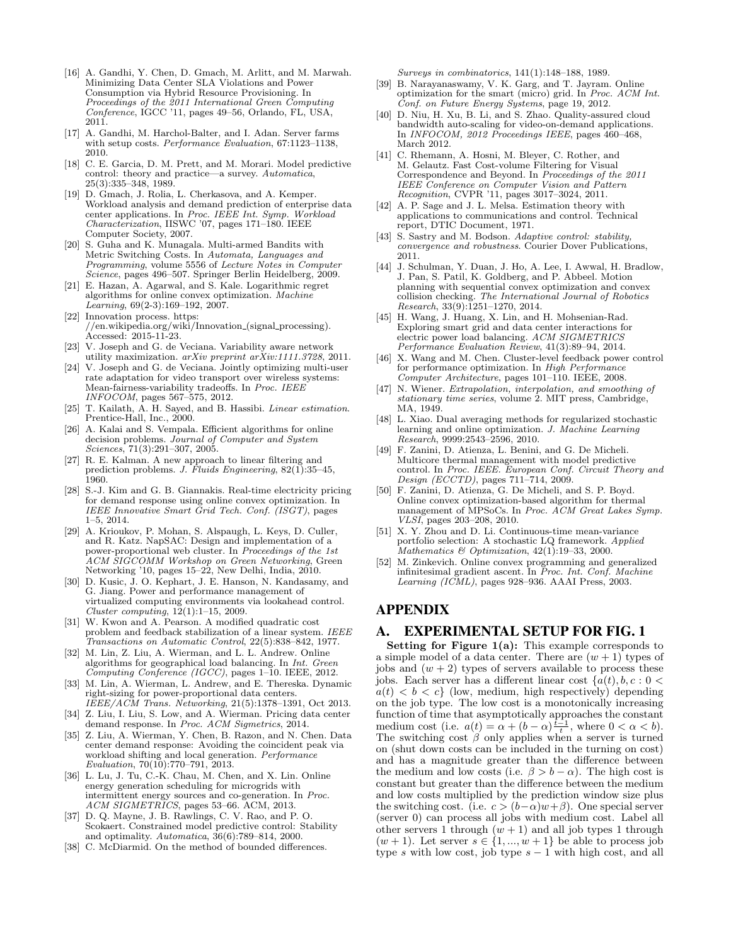- [16] A. Gandhi, Y. Chen, D. Gmach, M. Arlitt, and M. Marwah. Minimizing Data Center SLA Violations and Power Consumption via Hybrid Resource Provisioning. In Proceedings of the 2011 International Green Computing Conference, IGCC '11, pages 49–56, Orlando, FL, USA, 2011.
- [17] A. Gandhi, M. Harchol-Balter, and I. Adan. Server farms with setup costs. Performance Evaluation, 67:1123-1138, 2010.
- [18] C. E. Garcia, D. M. Prett, and M. Morari. Model predictive control: theory and practice—a survey. Automatica, 25(3):335–348, 1989.
- [19] D. Gmach, J. Rolia, L. Cherkasova, and A. Kemper. Workload analysis and demand prediction of enterprise data center applications. In Proc. IEEE Int. Symp. Workload Characterization, IISWC '07, pages 171–180. IEEE Computer Society, 2007.
- [20] S. Guha and K. Munagala. Multi-armed Bandits with Metric Switching Costs. In Automata, Languages and Programming, volume 5556 of Lecture Notes in Computer Science, pages 496–507. Springer Berlin Heidelberg, 2009.
- [21] E. Hazan, A. Agarwal, and S. Kale. Logarithmic regret algorithms for online convex optimization. Machine Learning, 69(2-3):169–192, 2007.
- [22] Innovation process. https: //en.wikipedia.org/wiki/Innovation (signal processing). Accessed: 2015-11-23.
- [23] V. Joseph and G. de Veciana. Variability aware network utility maximization.  $arXiv$  preprint  $arXiv:1111.3728$ , 2011.
- [24] V. Joseph and G. de Veciana. Jointly optimizing multi-user rate adaptation for video transport over wireless systems: Mean-fairness-variability tradeoffs. In Proc. IEEE INFOCOM, pages 567–575, 2012.
- [25] T. Kailath, A. H. Sayed, and B. Hassibi. Linear estimation. Prentice-Hall, Inc., 2000.
- [26] A. Kalai and S. Vempala. Efficient algorithms for online decision problems. Journal of Computer and System Sciences, 71(3):291–307, 2005.
- [27] R. E. Kalman. A new approach to linear filtering and prediction problems. J. Fluids Engineering,  $82(1):35-45$ , 1960.
- [28] S.-J. Kim and G. B. Giannakis. Real-time electricity pricing for demand response using online convex optimization. In IEEE Innovative Smart Grid Tech. Conf. (ISGT), pages 1–5, 2014.
- [29] A. Krioukov, P. Mohan, S. Alspaugh, L. Keys, D. Culler, and R. Katz. NapSAC: Design and implementation of a power-proportional web cluster. In Proceedings of the 1st ACM SIGCOMM Workshop on Green Networking, Green Networking '10, pages 15–22, New Delhi, India, 2010.
- [30] D. Kusic, J. O. Kephart, J. E. Hanson, N. Kandasamy, and G. Jiang. Power and performance management of virtualized computing environments via lookahead control. Cluster computing, 12(1):1–15, 2009.
- [31] W. Kwon and A. Pearson. A modified quadratic cost problem and feedback stabilization of a linear system. IEEE Transactions on Automatic Control, 22(5):838–842, 1977.
- [32] M. Lin, Z. Liu, A. Wierman, and L. L. Andrew. Online algorithms for geographical load balancing. In Int. Green Computing Conference (IGCC), pages 1–10. IEEE, 2012.
- [33] M. Lin, A. Wierman, L. Andrew, and E. Thereska. Dynamic right-sizing for power-proportional data centers. IEEE/ACM Trans. Networking, 21(5):1378–1391, Oct 2013.
- [34] Z. Liu, I. Liu, S. Low, and A. Wierman. Pricing data center demand response. In Proc. ACM Sigmetrics, 2014.
- [35] Z. Liu, A. Wierman, Y. Chen, B. Razon, and N. Chen. Data center demand response: Avoiding the coincident peak via workload shifting and local generation. Performance Evaluation, 70(10):770–791, 2013.
- [36] L. Lu, J. Tu, C.-K. Chau, M. Chen, and X. Lin. Online energy generation scheduling for microgrids with intermittent energy sources and co-generation. In Proc. ACM SIGMETRICS, pages 53–66. ACM, 2013.
- [37] D. Q. Mayne, J. B. Rawlings, C. V. Rao, and P. O. Scokaert. Constrained model predictive control: Stability and optimality. Automatica, 36(6):789–814, 2000.
- [38] C. McDiarmid. On the method of bounded differences.

Surveys in combinatorics, 141(1):148–188, 1989.

- [39] B. Narayanaswamy, V. K. Garg, and T. Jayram. Online optimization for the smart (micro) grid. In Proc. ACM Int. Conf. on Future Energy Systems, page 19, 2012.
- [40] D. Niu, H. Xu, B. Li, and S. Zhao. Quality-assured cloud bandwidth auto-scaling for video-on-demand applications. In INFOCOM, 2012 Proceedings IEEE, pages 460–468, March 2012.
- [41] C. Rhemann, A. Hosni, M. Bleyer, C. Rother, and M. Gelautz. Fast Cost-volume Filtering for Visual Correspondence and Beyond. In Proceedings of the 2011 IEEE Conference on Computer Vision and Pattern Recognition, CVPR '11, pages 3017–3024, 2011.
- [42] A. P. Sage and J. L. Melsa. Estimation theory with applications to communications and control. Technical report, DTIC Document, 1971.
- [43] S. Sastry and M. Bodson. Adaptive control: stability, convergence and robustness. Courier Dover Publications, 2011.
- [44] J. Schulman, Y. Duan, J. Ho, A. Lee, I. Awwal, H. Bradlow, J. Pan, S. Patil, K. Goldberg, and P. Abbeel. Motion planning with sequential convex optimization and convex collision checking. The International Journal of Robotics Research, 33(9):1251–1270, 2014.
- [45] H. Wang, J. Huang, X. Lin, and H. Mohsenian-Rad. Exploring smart grid and data center interactions for electric power load balancing. ACM SIGMETRICS Performance Evaluation Review, 41(3):89–94, 2014.
- [46] X. Wang and M. Chen. Cluster-level feedback power control for performance optimization. In High Performance Computer Architecture, pages 101–110. IEEE, 2008.
- [47] N. Wiener. Extrapolation, interpolation, and smoothing of stationary time series, volume 2. MIT press, Cambridge, MA, 1949.
- [48] L. Xiao. Dual averaging methods for regularized stochastic learning and online optimization. J. Machine Learning Research, 9999:2543–2596, 2010.
- [49] F. Zanini, D. Atienza, L. Benini, and G. De Micheli. Multicore thermal management with model predictive control. In Proc. IEEE. European Conf. Circuit Theory and Design (ECCTD), pages 711–714, 2009.
- [50] F. Zanini, D. Atienza, G. De Micheli, and S. P. Boyd. Online convex optimization-based algorithm for thermal management of MPSoCs. In Proc. ACM Great Lakes Symp. VLSI, pages 203–208, 2010.
- [51] X. Y. Zhou and D. Li. Continuous-time mean-variance portfolio selection: A stochastic LQ framework. Applied Mathematics  $\mathcal{B}$  Optimization, 42(1):19-33, 2000.
- [52] M. Zinkevich. Online convex programming and generalized infinitesimal gradient ascent. In Proc. Int. Conf. Machine Learning (ICML), pages 928-936. AAAI Press, 2003.

# APPENDIX

# A. EXPERIMENTAL SETUP FOR FIG. 1

**Setting for Figure 1(a):** This example corresponds to a simple model of a data center. There are  $(w + 1)$  types of jobs and  $(w + 2)$  types of servers available to process these jobs. Each server has a different linear cost  $\{a(t), b, c : 0 \leq \}$  $a(t) < b < c$  (low, medium, high respectively) depending on the job type. The low cost is a monotonically increasing function of time that asymptotically approaches the constant medium cost (i.e.  $a(t) = \alpha + (b - \alpha) \frac{\tilde{t}-1}{t}$ , where  $0 < \alpha < b$ ). The switching cost  $\beta$  only applies when a server is turned on (shut down costs can be included in the turning on cost) and has a magnitude greater than the difference between the medium and low costs (i.e.  $\beta > b - \alpha$ ). The high cost is constant but greater than the difference between the medium and low costs multiplied by the prediction window size plus the switching cost. (i.e.  $c > (b-\alpha)w+\beta$ ). One special server (server 0) can process all jobs with medium cost. Label all other servers 1 through  $(w + 1)$  and all job types 1 through  $(w + 1)$ . Let server  $s \in \{1, ..., w + 1\}$  be able to process job type s with low cost, job type  $s - 1$  with high cost, and all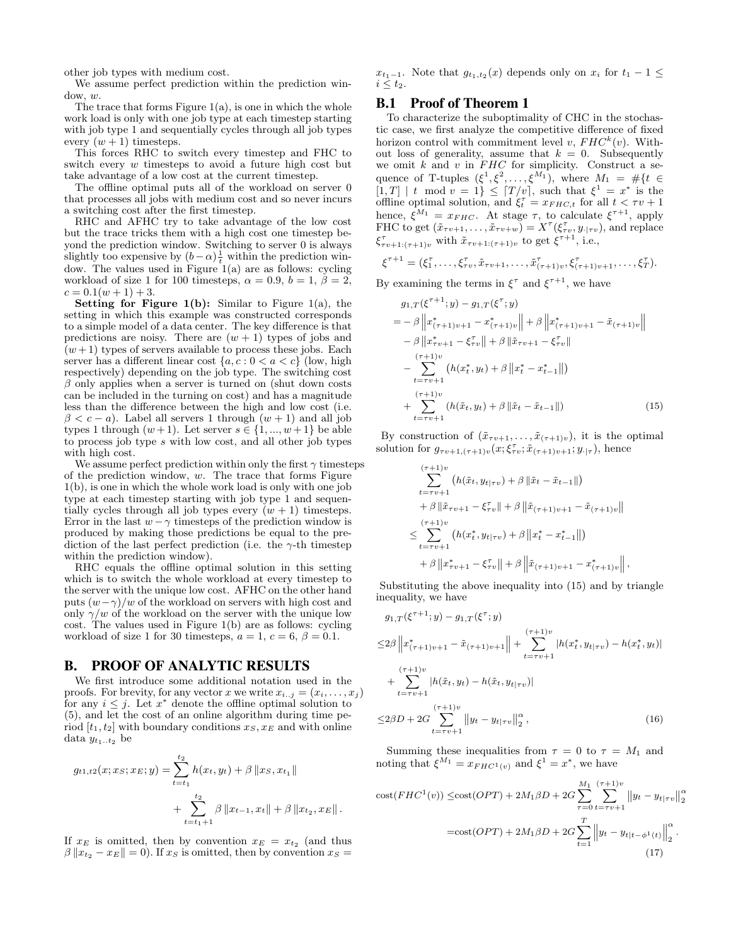other job types with medium cost.

We assume perfect prediction within the prediction win $dow, w.$ 

The trace that forms Figure 1(a), is one in which the whole work load is only with one job type at each timestep starting with job type 1 and sequentially cycles through all job types every  $(w + 1)$  timesteps.

This forces RHC to switch every timestep and FHC to switch every  $w$  timesteps to avoid a future high cost but take advantage of a low cost at the current timestep.

The offline optimal puts all of the workload on server 0 that processes all jobs with medium cost and so never incurs a switching cost after the first timestep.

RHC and AFHC try to take advantage of the low cost but the trace tricks them with a high cost one timestep beyond the prediction window. Switching to server 0 is always slightly too expensive by  $(b-\alpha)\frac{1}{t}$  within the prediction window. The values used in Figure 1(a) are as follows: cycling workload of size 1 for 100 timesteps,  $\alpha = 0.9$ ,  $b = 1$ ,  $\beta = 2$ ,  $c = 0.1(w + 1) + 3.$ 

**Setting for Figure 1(b):** Similar to Figure 1(a), the setting in which this example was constructed corresponds to a simple model of a data center. The key difference is that predictions are noisy. There are  $(w + 1)$  types of jobs and  $(w+1)$  types of servers available to process these jobs. Each server has a different linear cost  $\{a, c : 0 < a < c\}$  (low, high respectively) depending on the job type. The switching cost  $\beta$  only applies when a server is turned on (shut down costs can be included in the turning on cost) and has a magnitude less than the difference between the high and low cost (i.e.  $\beta < c - a$ ). Label all servers 1 through  $(w + 1)$  and all job types 1 through  $(w+1)$ . Let server  $s \in \{1, ..., w+1\}$  be able to process job type s with low cost, and all other job types with high cost.

We assume perfect prediction within only the first  $\gamma$  timesteps of the prediction window,  $w$ . The trace that forms Figure 1(b), is one in which the whole work load is only with one job type at each timestep starting with job type 1 and sequentially cycles through all job types every  $(w + 1)$  timesteps. Error in the last  $w - \gamma$  timesteps of the prediction window is produced by making those predictions be equal to the prediction of the last perfect prediction (i.e. the  $\gamma$ -th timestep within the prediction window).

RHC equals the offline optimal solution in this setting which is to switch the whole workload at every timestep to the server with the unique low cost. AFHC on the other hand puts  $(w-\gamma)/w$  of the workload on servers with high cost and only  $\gamma/w$  of the workload on the server with the unique low cost. The values used in Figure 1(b) are as follows: cycling workload of size 1 for 30 timesteps,  $a = 1, c = 6, \beta = 0.1$ .

# B. PROOF OF ANALYTIC RESULTS

We first introduce some additional notation used in the proofs. For brevity, for any vector x we write  $x_{i..j} = (x_i, \ldots, x_j)$ for any  $i \leq j$ . Let  $x^*$  denote the offline optimal solution to (5), and let the cost of an online algorithm during time period  $[t_1, t_2]$  with boundary conditions  $x_S, x_E$  and with online data  $y_{t_1...t_2}$  be

$$
g_{t1,t2}(x; x_s; x_E; y) = \sum_{t=t_1}^{t_2} h(x_t, y_t) + \beta ||x_S, x_{t_1}||
$$
  
+ 
$$
\sum_{t=t_1+1}^{t_2} \beta ||x_{t-1}, x_t|| + \beta ||x_{t_2}, x_E||.
$$

If  $x_E$  is omitted, then by convention  $x_E = x_{t_2}$  (and thus  $\beta \|x_{t_2} - x_E\| = 0$ . If  $x_S$  is omitted, then by convention  $x_S =$ 

 $x_{t_1-1}$ . Note that  $g_{t_1,t_2}(x)$  depends only on  $x_i$  for  $t_1-1 \leq$  $i \leq t_2$ .

# B.1 Proof of Theorem 1

To characterize the suboptimality of CHC in the stochastic case, we first analyze the competitive difference of fixed horizon control with commitment level  $v$ ,  $FHC^{k}(v)$ . Without loss of generality, assume that  $k = 0$ . Subsequently we omit  $k$  and  $v$  in  $FHC$  for simplicity. Construct a sequence of T-tuples  $(\xi^1, \xi^2, \dots, \xi^{M_1})$ , where  $M_1 = #\{t \in$  $[1, T]$  | t mod  $v = 1$ }  $\leq$   $[T/v]$ , such that  $\xi^1 = x^*$  is the offline optimal solution, and  $\xi_t^{\tau} = x_{FHC,t}$  for all  $t < \tau v + 1$ hence,  $\xi^{M_1} = x_{FHC}$ . At stage  $\tau$ , to calculate  $\xi^{\tau+1}$ , apply FHC to get  $(\tilde{x}_{\tau v+1}, \ldots, \tilde{x}_{\tau v+w}) = X^{\tau}(\xi_{\tau v}^{\tau}, y_{\cdot | \tau v}),$  and replace  $\xi^{\tau}_{\tau v+1:(\tau+1)v}$  with  $\tilde{x}_{\tau v+1:(\tau+1)v}$  to get  $\xi^{\tau+1}$ , i.e.,

$$
\xi^{\tau+1} = (\xi_1^{\tau}, \ldots, \xi_{\tau v}^{\tau}, \tilde{x}_{\tau v+1}, \ldots, \tilde{x}_{(\tau+1)v}^{\tau}, \xi_{(\tau+1)v+1}^{\tau}, \ldots, \xi_T^{\tau}).
$$

By examining the terms in  $\xi^{\tau}$  and  $\xi^{\tau+1}$ , we have

$$
g_{1,T}(\xi^{\tau+1};y) - g_{1,T}(\xi^{\tau};y)
$$
  
=  $-\beta \left\| x^{*}_{(\tau+1)v+1} - x^{*}_{(\tau+1)v} \right\| + \beta \left\| x^{*}_{(\tau+1)v+1} - \tilde{x}_{(\tau+1)v} \right\|$   
 $-\beta \left\| x^{*}_{\tau v+1} - \xi^{T}_{\tau v} \right\| + \beta \left\| \tilde{x}_{\tau v+1} - \xi^{T}_{\tau v} \right\|$   
 $-\sum_{t=\tau v+1}^{(\tau+1)v} (h(x^{*}_{t}, y_{t}) + \beta \left\| x^{*}_{t} - x^{*}_{t-1} \right\|)$   
 $+\sum_{t=\tau v+1}^{(\tau+1)v} (h(\tilde{x}_{t}, y_{t}) + \beta \left\| \tilde{x}_{t} - \tilde{x}_{t-1} \right\|)$  (15)

By construction of  $(\tilde{x}_{\tau v+1}, \ldots, \tilde{x}_{(\tau+1)v})$ , it is the optimal solution for  $g_{\tau v+1,(\tau+1)v}(x;\xi_{\tau v}^{\tau};\tilde{x}_{(\tau+1)v+1};y_{\tau})$ , hence

$$
\sum_{t=\tau v+1}^{(\tau+1)v} (h(\tilde{x}_t, y_{t|\tau v}) + \beta ||\tilde{x}_t - \tilde{x}_{t-1}||)
$$
  
+  $\beta ||\tilde{x}_{\tau v+1} - \xi_{\tau v}^{\tau}|| + \beta ||\tilde{x}_{(\tau+1)v+1} - \tilde{x}_{(\tau+1)v}||$   
 $\leq \sum_{t=\tau v+1}^{(\tau+1)v} (h(x_t^*, y_{t|\tau v}) + \beta ||x_t^* - x_{t-1}^*||)$   
+  $\beta ||x_{\tau v+1}^* - \xi_{\tau v}^{\tau}|| + \beta ||\tilde{x}_{(\tau+1)v+1} - x_{(\tau+1)v}^*||,$ 

Substituting the above inequality into (15) and by triangle inequality, we have

$$
g_{1,T}(\xi^{\tau+1};y) - g_{1,T}(\xi^{\tau};y)
$$
  
\n
$$
\leq 2\beta \left\| x_{(\tau+1)v+1}^* - \tilde{x}_{(\tau+1)v+1} \right\| + \sum_{t=\tau v+1}^{(\tau+1)v} |h(x_t^*, y_{t|\tau v}) - h(x_t^*, y_t)|
$$
  
\n
$$
+ \sum_{t=\tau v+1}^{(\tau+1)v} |h(\tilde{x}_t, y_t) - h(\tilde{x}_t, y_{t|\tau v})|
$$
  
\n
$$
\leq 2\beta D + 2G \sum_{t=\tau v+1}^{(\tau+1)v} ||y_t - y_{t|\tau v}||_2^{\alpha},
$$
\n(16)

Summing these inequalities from  $\tau = 0$  to  $\tau = M_1$  and noting that  $\xi^{M_1} = x_{FHC^1(v)}$  and  $\xi^1 = x^*$ , we have

cost
$$
(FHC^1(v)) \le \csc(OPT) + 2M_1\beta D + 2G \sum_{\tau=0}^{M_1} \sum_{t=\tau v+1}^{(\tau+1)v} ||y_t - y_{t|\tau v}||_2^{\alpha}
$$
  
=cost $(OPT) + 2M_1\beta D + 2G \sum_{t=1}^{T} ||y_t - y_{t|t-\phi^1(t)}||_2^{\alpha}$ .  
(17)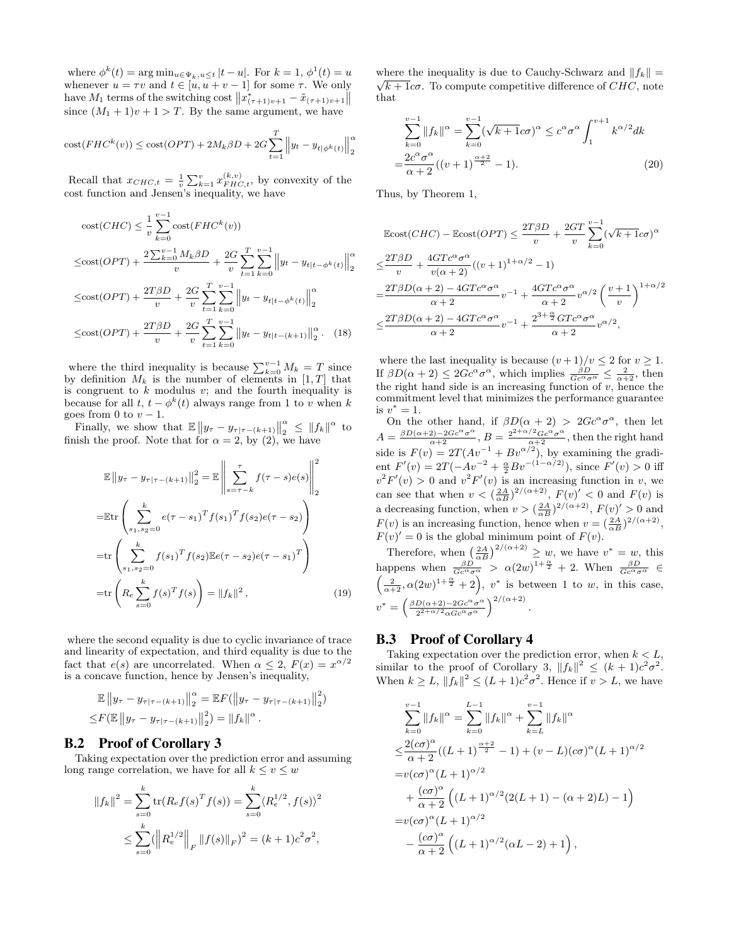where  $\phi^k(t) = \arg \min_{u \in \Psi_k, u \le t} |t - u|$ . For  $k = 1, \phi^1(t) = u$ whenever  $u = \tau v$  and  $t \in [u, u + v - 1]$  for some  $\tau$ . We only have  $M_1$  terms of the switching cost  $||x^*_{(\tau+1)v+1} - \tilde{x}_{(\tau+1)v+1}||$ since  $(M_1 + 1)v + 1 > T$ . By the same argument, we have

$$
cost(FHC^{k}(v)) \le cost(OPT) + 2M_k\beta D + 2G\sum_{t=1}^{T} \left\|y_t - y_{t|\phi^{k}(t)}\right\|_{2}^{\alpha}
$$

Recall that  $x_{CHC,t} = \frac{1}{v} \sum_{k=1}^{v} x_{FHC,t}^{(k,v)}$ , by convexity of the cost function and Jensen's inequality, we have

cost(CHC) 
$$
\leq \frac{1}{v} \sum_{k=0}^{v-1} \text{cost}(FHC^k(v))
$$
  
\n $\leq \text{cost}(OPT) + \frac{2 \sum_{k=0}^{v-1} M_k \beta D}{v} + \frac{2G}{v} \sum_{t=1}^{T} \sum_{k=0}^{v-1} ||y_t - y_{t|t-\phi^k(t)}||_2^{\alpha}$ 

$$
\leq \text{cost}(OPT) + \frac{2T\beta D}{v} + \frac{2G}{v} \sum_{t=1}^{T} \sum_{k=0}^{v-1} \left\| y_t - y_{t|t-\phi^k(t)} \right\|_2^{\alpha}
$$

$$
\leq \text{cost}(OPT) + \frac{2T\beta D}{v} + \frac{2G}{v} \sum_{t=1}^{T} \sum_{k=0}^{v-1} \left\| y_t - y_{t|t-(k+1)} \right\|_2^{\alpha}.
$$
 (18)

where the third inequality is because  $\sum_{k=0}^{v-1} M_k = T$  since by definition  $M_k$  is the number of elements in [1, T] that is congruent to  $k$  modulus  $v$ ; and the fourth inequality is because for all  $t, t - \phi^k(t)$  always range from 1 to v when k goes from 0 to  $v - 1$ .

Finally, we show that  $\mathbb{E} \|y_\tau - y_{\tau|\tau-(k+1)}\|_2^{\alpha}$  $\frac{\alpha}{2} \leq ||f_k||^{\alpha}$  to finish the proof. Note that for  $\alpha = 2$ , by (2), we have

$$
\mathbb{E} \|y_{\tau} - y_{\tau|\tau - (k+1)}\|_{2}^{2} = \mathbb{E} \left\| \sum_{s=\tau-k}^{\tau} f(\tau - s)e(s) \right\|_{2}^{2}
$$
\n
$$
= \mathbb{E} \text{tr} \left( \sum_{s_{1}, s_{2}=0}^{k} e(\tau - s_{1})^{T} f(s_{1})^{T} f(s_{2}) e(\tau - s_{2}) \right)
$$
\n
$$
= \text{tr} \left( \sum_{s_{1}, s_{2}=0}^{k} f(s_{1})^{T} f(s_{2}) \mathbb{E} e(\tau - s_{2}) e(\tau - s_{1})^{T} \right)
$$
\n
$$
= \text{tr} \left( R_{e} \sum_{s=0}^{k} f(s)^{T} f(s) \right) = \|f_{k}\|^{2}, \qquad (19)
$$

where the second equality is due to cyclic invariance of trace and linearity of expectation, and third equality is due to the fact that  $e(s)$  are uncorrelated. When  $\alpha \leq 2$ ,  $F(x) = x^{\alpha/2}$ is a concave function, hence by Jensen's inequality,

$$
\mathbb{E} \|y_{\tau} - y_{\tau|\tau - (k+1)}\|_2^{\alpha} = \mathbb{E} F(||y_{\tau} - y_{\tau|\tau - (k+1)}||_2^2)
$$
  

$$
\leq F(\mathbb{E} \|y_{\tau} - y_{\tau|\tau - (k+1)}\|_2^2) = ||f_k\|^{\alpha}.
$$

#### B.2 Proof of Corollary 3

Taking expectation over the prediction error and assuming long range correlation, we have for all  $k \le v \le w$ 

$$
||f_k||^2 = \sum_{s=0}^k \text{tr}(R_e f(s)^T f(s)) = \sum_{s=0}^k \langle R_e^{1/2}, f(s) \rangle^2
$$
  

$$
\leq \sum_{s=0}^k (\left\| R_e^{1/2} \right\|_F \|f(s)\|_F)^2 = (k+1)c^2 \sigma^2,
$$

where the inequality is due to Cauchy-Schwarz and  $|| f_k || =$  $\sqrt{k+1}c\sigma$ . To compute competitive difference of  $CHC$ , note that

$$
\sum_{k=0}^{v-1} \|f_k\|^{\alpha} = \sum_{k=0}^{v-1} (\sqrt{k+1}c\sigma)^{\alpha} \le c^{\alpha}\sigma^{\alpha} \int_{1}^{v+1} k^{\alpha/2} dk
$$
  
= 
$$
\frac{2c^{\alpha}\sigma^{\alpha}}{\alpha+2}((v+1)^{\frac{\alpha+2}{2}}-1).
$$
 (20)

Thus, by Theorem 1,

$$
\begin{split} &\mathbb{E} \text{cost}(CHC) - \mathbb{E} \text{cost}(OPT) \leq \frac{2T\beta D}{v} + \frac{2GT}{v} \sum_{k=0}^{v-1} (\sqrt{k+1}c\sigma)^{\alpha} \\ &\leq \frac{2T\beta D}{v} + \frac{4GTc^{\alpha}\sigma^{\alpha}}{v(\alpha+2)}((v+1)^{1+\alpha/2}-1) \\ &= \frac{2T\beta D(\alpha+2) - 4GTc^{\alpha}\sigma^{\alpha}}{\alpha+2}v^{-1} + \frac{4GTc^{\alpha}\sigma^{\alpha}}{\alpha+2}v^{\alpha/2} \left(\frac{v+1}{v}\right)^{1+\alpha/2} \\ &\leq \frac{2T\beta D(\alpha+2) - 4GTc^{\alpha}\sigma^{\alpha}}{\alpha+2}v^{-1} + \frac{2^{3+\frac{\alpha}{2}}GTc^{\alpha}\sigma^{\alpha}}{\alpha+2}v^{\alpha/2}, \end{split}
$$

where the last inequality is because  $(v+1)/v \leq 2$  for  $v \geq 1$ . If  $\beta D(\alpha + 2) \leq 2Gc^{\alpha}\sigma^{\alpha}$ , which implies  $\frac{\beta D}{Gc^{\alpha}\sigma^{\alpha}} \leq \frac{2}{\alpha+2}$ , then the right hand side is an increasing function of  $v$ , hence the commitment level that minimizes the performance guarantee is  $v^* = 1$ .

On the other hand, if  $\beta D(\alpha + 2) > 2Gc^{\alpha}\sigma^{\alpha}$ , then let  $A = \frac{\beta D(\alpha+2) - 2Gc^{\alpha}\sigma^{\alpha}}{\alpha+2}, B = \frac{2^{2+\alpha/2}Gc^{\alpha}\sigma^{\alpha}}{\alpha+2}$ , then the right hand side is  $F(v) = 2T(Av^{-1} + Bv^{\alpha/2})$ , by examining the gradient  $F'(v) = 2T(-Av^{-2} + \frac{\alpha}{2}Bv^{-(1-\alpha/2)})$ , since  $F'(v) > 0$  iff  $v^2 F'(v) > 0$  and  $v^2 F'(v)$  is an increasing function in v, we can see that when  $v < (\frac{2A}{\alpha B})^{2/(\alpha+2)}$ ,  $F(v)' < 0$  and  $F(v)$  is a decreasing function, when  $v > (\frac{2A}{\alpha B})^{2/(\alpha+2)}$ ,  $F(v)' > 0$  and  $F(v)$  is an increasing function, hence when  $v = \left(\frac{2A}{\alpha B}\right)^{2/(\alpha+2)}$ ,  $F(v)' = 0$  is the global minimum point of  $F(v)$ .

Therefore, when  $\left(\frac{2A}{\alpha B}\right)^{2/(\alpha+2)} \geq w$ , we have  $v^* = w$ , this happens when  $\frac{\beta D}{Gc^{\alpha}\sigma^{\alpha}} > \alpha(2w)^{1+\frac{\alpha}{2}} + 2$ . When  $\frac{\beta D}{Gc^{\alpha}\sigma^{\alpha}} \in$  $\left(\frac{2}{\alpha+2}, \alpha(2w)^{1+\frac{\alpha}{2}}+2\right)$ ,  $v^*$  is between 1 to w, in this case,  $v^* = \left(\frac{\beta D(\alpha+2)-2Gc^{\alpha}\sigma^{\alpha}}{2^{2+\alpha/2}-Gc^{\alpha}\sigma^{\alpha}}\right)$  $\frac{D(\alpha+2)-2 G c^\alpha\sigma^\alpha}{2^{2+\alpha/2}\alpha G c^\alpha\sigma^\alpha}\Big)^{2/(\alpha+2)}$ .

# B.3 Proof of Corollary 4

Taking expectation over the prediction error, when  $k < L$ , similar to the proof of Corollary 3,  $||f_k||^2 \leq (k+1)c^2\sigma^2$ . When  $k \ge L$ ,  $||f_k||^2 \le (L+1)c^2\sigma^2$ . Hence if  $v > L$ , we have

$$
\sum_{k=0}^{v-1} ||f_k\|^{\alpha} = \sum_{k=0}^{L-1} ||f_k\|^{\alpha} + \sum_{k=L}^{v-1} ||f_k\|^{\alpha}
$$
  
\n
$$
\leq \frac{2(c\sigma)^{\alpha}}{\alpha+2}((L+1)^{\frac{\alpha+2}{2}} - 1) + (v - L)(c\sigma)^{\alpha}(L+1)^{\alpha/2}
$$
  
\n
$$
= v(c\sigma)^{\alpha}(L+1)^{\alpha/2}
$$
  
\n
$$
+ \frac{(c\sigma)^{\alpha}}{\alpha+2}((L+1)^{\alpha/2}(2(L+1) - (\alpha+2)L) - 1)
$$
  
\n
$$
= v(c\sigma)^{\alpha}(L+1)^{\alpha/2}
$$
  
\n
$$
- \frac{(c\sigma)^{\alpha}}{\alpha+2}((L+1)^{\alpha/2}(\alpha L-2) + 1),
$$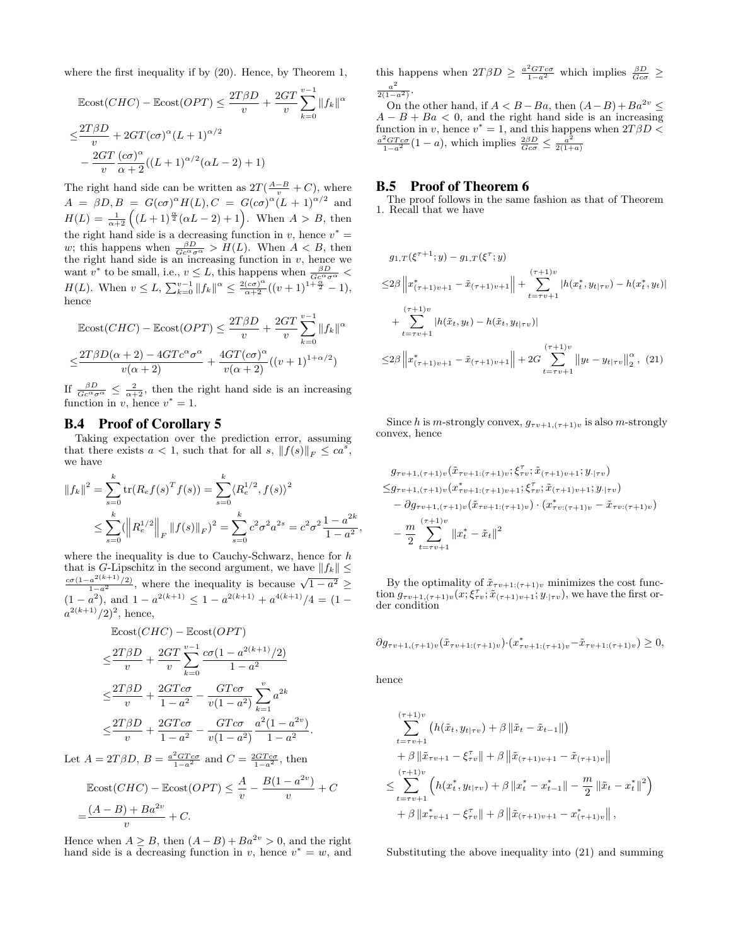where the first inequality if by (20). Hence, by Theorem 1,

$$
\begin{aligned} \n\text{Ecost}(CHC) - \text{Ecost}(OPT) &\leq \frac{2T\beta D}{v} + \frac{2GT}{v} \sum_{k=0}^{v-1} \|f_k\|^{\alpha} \\ \n&\leq \frac{2T\beta D}{v} + 2GT(c\sigma)^{\alpha} (L+1)^{\alpha/2} \\ \n&- \frac{2GT}{v} \frac{(c\sigma)^{\alpha}}{\alpha+2} ((L+1)^{\alpha/2} (\alpha L - 2) + 1) \n\end{aligned}
$$

The right hand side can be written as  $2T(\frac{A-B}{v} + C)$ , where  $A = \beta D, B = G(c\sigma)^{\alpha}H(L), C = G(c\sigma)^{\alpha}(L+1)^{\alpha/2}$  and  $H(L) = \frac{1}{\alpha+2} \left( (L+1)^{\frac{\alpha}{2}} (\alpha L - 2) + 1 \right)$ . When  $A > B$ , then the right hand side is a decreasing function in v, hence  $v^* =$ w; this happens when  $\frac{\beta D}{Gc^{\alpha}\sigma^{\alpha}} > H(L)$ . When  $A < B$ , then the right hand side is an increasing function in v, hence we want  $v^*$  to be small, i.e.,  $v \leq L$ , this happens when  $\frac{\beta D}{Gc^{\alpha}\sigma^{\alpha}}$  $H(L)$ . When  $v \leq L$ ,  $\sum_{k=0}^{v-1} ||f_k||^{\alpha} \leq \frac{2(c\sigma)^{\alpha}}{\alpha+2}((v+1)^{1+\frac{\alpha}{2}}-1)$ , hence

$$
\operatorname{Ecost}(CHC) - \operatorname{Ecost}(OPT) \le \frac{2T\beta D}{v} + \frac{2GT}{v} \sum_{k=0}^{v-1} ||f_k||^{\alpha}
$$

$$
\le \frac{2T\beta D(\alpha+2) - 4GTc^{\alpha}\sigma^{\alpha}}{v(\alpha+2)} + \frac{4GT(c\sigma)^{\alpha}}{v(\alpha+2)}((v+1)^{1+\alpha/2})
$$

If  $\frac{\beta D}{Gc^{\alpha}\sigma^{\alpha}} \leq \frac{2}{\alpha+2}$ , then the right hand side is an increasing function in v, hence  $v^* = 1$ .

#### B.4 Proof of Corollary 5

Taking expectation over the prediction error, assuming that there exists  $a < 1$ , such that for all  $s, \|f(s)\|_F \leq ca^s$ , we have

$$
||f_k||^2 = \sum_{s=0}^k \text{tr}(R_e f(s)^T f(s)) = \sum_{s=0}^k \langle R_e^{1/2}, f(s) \rangle^2
$$
  
 
$$
\leq \sum_{s=0}^k (\left\| R_e^{1/2} \right\|_F ||f(s)||_F)^2 = \sum_{s=0}^k c^2 \sigma^2 a^{2s} = c^2 \sigma^2 \frac{1 - a^{2k}}{1 - a^2},
$$

where the inequality is due to Cauchy-Schwarz, hence for  $h$ that is G-Lipschitz in the second argument, we have  $||f_k|| \leq$  $rac{\cot(1-a^{2(k+1)}/2)}{1-a^2}$ , where the inequality is because  $\sqrt{1-a^2} \ge$  $(1 - a^2)$ , and  $1 - a^{2(k+1)} \leq 1 - a^{2(k+1)} + a^{4(k+1)}/4 = (1 - a^2)$  $a^{2(k+1)}/2$ , hence,

$$
\begin{aligned}\n\text{Ecost}(CHC) &= \text{Ecost}(OPT) \\
&\leq \frac{2T\beta D}{v} + \frac{2GT}{v} \sum_{k=0}^{v-1} \frac{c\sigma(1 - a^{2(k+1)}/2)}{1 - a^2} \\
&\leq \frac{2T\beta D}{v} + \frac{2GTc\sigma}{1 - a^2} - \frac{GTc\sigma}{v(1 - a^2)} \sum_{k=1}^{v} a^{2k} \\
&\leq \frac{2T\beta D}{v} + \frac{2GTc\sigma}{1 - a^2} - \frac{GTc\sigma}{v(1 - a^2)} \frac{a^2(1 - a^{2v})}{1 - a^2}.\n\end{aligned}
$$
\n
$$
\text{Let } A = 2T\beta D, B = \frac{a^2GTc\sigma}{1 - a^2} \text{ and } C = \frac{2GTc\sigma}{1 - a^2}, \text{ then}
$$

$$
\begin{aligned} \text{Ecost}(CHC) - \text{Ecost}(OPT) &\leq \frac{A}{v} - \frac{B(1 - a^{2v})}{v} + C \\ &= \frac{(A - B) + Ba^{2v}}{v} + C. \end{aligned}
$$

Hence when  $A \geq B$ , then  $(A - B) + Ba^{2v} > 0$ , and the right hand side is a decreasing function in v, hence  $v^* = w$ , and

this happens when  $2T\beta D \geq \frac{a^2GTc\sigma}{1-a^2}$  which implies  $\frac{\beta D}{Gc\sigma} \geq$  $a^2$  $\frac{1}{2(1-a^2)}$ .

On the other hand, if  $A < B - Ba$ , then  $(A - B) + Ba^{2v} \le$  $A - B + Ba < 0$ , and the right hand side is an increasing function in v, hence  $v^* = 1$ , and this happens when  $2T\beta D \leq$  $\frac{a^2 G T c \sigma}{1 - a^2} (1 - a)$ , which implies  $\frac{2\beta D}{G c \sigma} \leq \frac{a^2}{2(1 + a^2)}$  $2(1+a)$ 

## B.5 Proof of Theorem 6

The proof follows in the same fashion as that of Theorem 1. Recall that we have

$$
g_{1,T}(\xi^{\tau+1};y) - g_{1,T}(\xi^{\tau};y)
$$
  
\n
$$
\leq 2\beta \left\| x_{(\tau+1)v+1}^* - \tilde{x}_{(\tau+1)v+1} \right\| + \sum_{t=\tau v+1}^{(\tau+1)v} |h(x_t^*, y_{t|\tau v}) - h(x_t^*, y_t)|
$$
  
\n
$$
+ \sum_{t=\tau v+1}^{(\tau+1)v} |h(\tilde{x}_t, y_t) - h(\tilde{x}_t, y_{t|\tau v})|
$$
  
\n
$$
\leq 2\beta \left\| x_{(\tau+1)v+1}^* - \tilde{x}_{(\tau+1)v+1} \right\| + 2G \sum_{t=\tau v+1}^{(\tau+1)v} \left\| y_t - y_{t|\tau v} \right\|_2^{\alpha}, (21)
$$

Since h is m-strongly convex,  $g_{\tau v+1,(\tau+1)v}$  is also m-strongly convex, hence

$$
g_{\tau v+1,(\tau+1)v}(\tilde{x}_{\tau v+1:(\tau+1)v}; \xi_{\tau v}^{\tau}; \tilde{x}_{(\tau+1)v+1}; y_{|\tau v})
$$
  
\n
$$
\leq g_{\tau v+1,(\tau+1)v}(x_{\tau v+1:(\tau+1)v+1}^*, \xi_{\tau v}^{\tau}; \tilde{x}_{(\tau+1)v+1}; y_{|\tau v})
$$
  
\n
$$
- \partial g_{\tau v+1,(\tau+1)v}(\tilde{x}_{\tau v+1:(\tau+1)v}) \cdot (x_{\tau v:(\tau+1)v}^* - \tilde{x}_{\tau v:(\tau+1)v})
$$
  
\n
$$
- \frac{m}{2} \sum_{t=\tau v+1}^{(\tau+1)v} ||x_t^* - \tilde{x}_t||^2
$$

By the optimality of  $\tilde{x}_{\tau v+1:(\tau+1)v}$  minimizes the cost function  $g_{\tau v+1,(\tau+1)v}(x;\xi_{\tau v}^{\tau};\tilde{x}_{(\tau+1)v+1};y_{\cdot|\tau v})$ , we have the first order condition

$$
\partial g_{\tau v+1,(\tau+1)v}(\tilde{x}_{\tau v+1:(\tau+1)v}) \cdot (x_{\tau v+1:(\tau+1)v}^* - \tilde{x}_{\tau v+1:(\tau+1)v}) \ge 0,
$$

hence

$$
\sum_{t=\tau v+1}^{(\tau+1)v} (h(\tilde{x}_t, y_{t|\tau v}) + \beta ||\tilde{x}_t - \tilde{x}_{t-1}||)
$$
  
+  $\beta ||\tilde{x}_{\tau v+1} - \xi_{\tau v}|| + \beta ||\tilde{x}_{(\tau+1)v+1} - \tilde{x}_{(\tau+1)v}||$   
 $\leq \sum_{t=\tau v+1}^{(\tau+1)v} (h(x_t^*, y_{t|\tau v}) + \beta ||x_t^* - x_{t-1}^*|| - \frac{m}{2} ||\tilde{x}_t - x_t^*||^2)$   
+  $\beta ||x_{\tau v+1}^* - \xi_{\tau v}^*|| + \beta ||\tilde{x}_{(\tau+1)v+1} - x_{(\tau+1)v}^*||,$ 

Substituting the above inequality into (21) and summing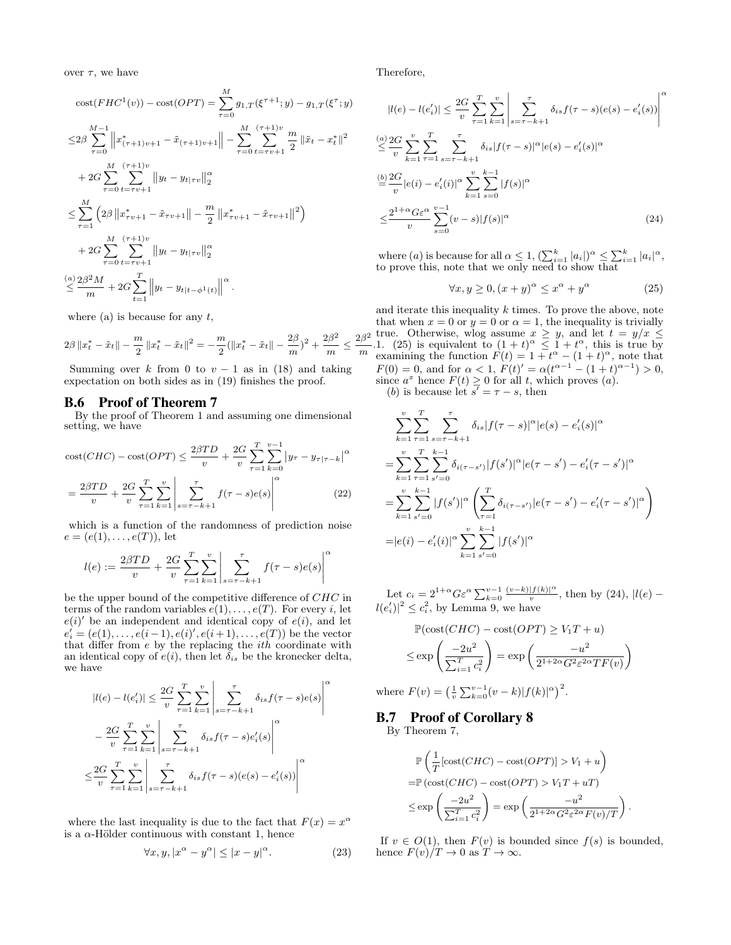over  $\tau$ , we have

$$
\begin{split}\n\text{cost}(FHC^1(v)) - \text{cost}(OPT) &= \sum_{\tau=0}^{M} g_{1,\tau}(\xi^{\tau+1}; y) - g_{1,\tau}(\xi^{\tau}; y) \\
&\leq & 2\beta \sum_{\tau=0}^{M-1} \left\| x_{(\tau+1)v+1}^* - \tilde{x}_{(\tau+1)v+1} \right\| - \sum_{\tau=0}^{M} \sum_{t=\tau v+1}^{(\tau+1)v} \frac{m}{2} \left\| \tilde{x}_t - x_t^* \right\|^2 \\
&\quad + 2G \sum_{\tau=0}^{M} \sum_{t=\tau v+1}^{(\tau+1)v} \left\| y_t - y_{t|\tau v} \right\|_2^{\alpha} \\
&\leq & \sum_{\tau=1}^{M} \left( 2\beta \left\| x_{\tau v+1}^* - \tilde{x}_{\tau v+1} \right\| - \frac{m}{2} \left\| x_{\tau v+1}^* - \tilde{x}_{\tau v+1} \right\|^2 \right) \\
&\quad + 2G \sum_{\tau=0}^{M} \sum_{t=\tau v+1}^{(\tau+1)v} \left\| y_t - y_{t|\tau v} \right\|_2^{\alpha} \\
&\leq & \frac{\alpha}{m} \left( 2\beta^2 M + 2G \sum_{t=1}^{T} \left\| y_t - y_{t|\tau-\phi^1(t)} \right\|^{\alpha} .\n\end{split}
$$

where (a) is because for any  $t$ ,

$$
2\beta \|x_t^* - \tilde{x}_t\| - \frac{m}{2} \|x_t^* - \tilde{x}_t\|^2 = -\frac{m}{2} (\|x_t^* - \tilde{x}_t\| - \frac{2\beta}{m})^2 + \frac{2\beta^2}{m} \le \frac{2\beta^2}{m}
$$

Summing over k from 0 to  $v - 1$  as in (18) and taking expectation on both sides as in (19) finishes the proof.

#### B.6 Proof of Theorem 7

By the proof of Theorem 1 and assuming one dimensional setting, we have

$$
\text{cost}(CHC) - \text{cost}(OPT) \le \frac{2\beta TD}{v} + \frac{2G}{v} \sum_{\tau=1}^{T} \sum_{k=0}^{v-1} |y_{\tau} - y_{\tau|\tau-k}|^{\alpha}
$$

$$
= \frac{2\beta TD}{v} + \frac{2G}{v} \sum_{\tau=1}^{T} \sum_{k=1}^{v} \left| \sum_{s=\tau-k+1}^{\tau} f(\tau-s)e(s) \right|^{\alpha} \tag{22}
$$

which is a function of the randomness of prediction noise  $e = (e(1), \ldots, e(T)),$  let

$$
l(e) := \frac{2\beta TD}{v} + \frac{2G}{v} \sum_{\tau=1}^{T} \sum_{k=1}^{v} \left| \sum_{s=\tau-k+1}^{\tau} f(\tau - s) e(s) \right|^{\alpha}
$$

be the upper bound of the competitive difference of CHC in terms of the random variables  $e(1), \ldots, e(T)$ . For every i, let  $e(i)$  be an independent and identical copy of  $e(i)$ , and let  $e'_{i} = (e(1), \ldots, e(i-1), e(i)', e(i+1), \ldots, e(T))$  be the vector that differ from  $e$  by the replacing the  $ith$  coordinate with an identical copy of  $e(i)$ , then let  $\breve{\delta}_{is}$  be the kronecker delta, we have

$$
|l(e) - l(e'_i)| \leq \frac{2G}{v} \sum_{\tau=1}^T \sum_{k=1}^v \left| \sum_{s=\tau-k+1}^{\tau} \delta_{is} f(\tau-s)e(s) \right|^{\alpha}
$$

$$
- \frac{2G}{v} \sum_{\tau=1}^T \sum_{k=1}^v \left| \sum_{s=\tau-k+1}^{\tau} \delta_{is} f(\tau-s)e'_i(s) \right|^{\alpha}
$$

$$
\leq \frac{2G}{v} \sum_{\tau=1}^T \sum_{k=1}^v \left| \sum_{s=\tau-k+1}^{\tau} \delta_{is} f(\tau-s)(e(s) - e'_i(s)) \right|^{\alpha}
$$

where the last inequality is due to the fact that  $F(x) = x^{\alpha}$ is a  $\alpha$ -Hölder continuous with constant 1, hence

$$
\forall x, y, |x^{\alpha} - y^{\alpha}| \le |x - y|^{\alpha}.
$$
 (23)

Therefore,

$$
|l(e) - l(e'_i)| \leq \frac{2G}{v} \sum_{\tau=1}^T \sum_{k=1}^v \left| \sum_{s=\tau-k+1}^{\tau} \delta_{is} f(\tau - s) (e(s) - e'_i(s)) \right|^{\alpha}
$$
  
\n
$$
\leq \frac{\alpha}{v} \sum_{k=1}^v \sum_{\tau=1}^T \sum_{s=\tau-k+1}^{\tau} \delta_{is} |f(\tau - s)|^{\alpha} |e(s) - e'_i(s)|^{\alpha}
$$
  
\n
$$
\leq \frac{2G}{v} |e(i) - e'_i(i)|^{\alpha} \sum_{k=1}^v \sum_{s=0}^{k-1} |f(s)|^{\alpha}
$$
  
\n
$$
\leq \frac{2^{1+\alpha} G \varepsilon^{\alpha}}{v} \sum_{s=0}^{v-1} (v-s) |f(s)|^{\alpha}
$$
 (24)

where  $(a)$  is because for all  $\alpha \leq 1$ ,  $(\sum_{i=1}^{k} |a_i|)^{\alpha} \leq \sum_{i=1}^{k} |a_i|^{\alpha}$ , to prove this, note that we only need to show that

$$
\forall x, y \ge 0, (x+y)^{\alpha} \le x^{\alpha} + y^{\alpha} \tag{25}
$$

 $\setminus$ 

.

. and iterate this inequality  $k$  times. To prove the above, note that when  $x = 0$  or  $y = 0$  or  $\alpha = 1$ , the inequality is trivially true. Otherwise, wlog assume  $x \geq y$ , and let  $t = y/x \leq$ 1. (25) is equivalent to  $(1 + t)^{\alpha} \leq 1 + t^{\alpha}$ , this is true by examining the function  $F(t) = 1 + t^{\alpha} - (1 + t)^{\alpha}$ , note that  $F(0) = 0$ , and for  $\alpha < 1$ ,  $F(t)' = \alpha(t^{\alpha-1} - (1+t)^{\alpha-1}) > 0$ , since  $a^x$  hence  $F(t) \geq 0$  for all t, which proves  $(a)$ . (b) is because let  $s' = \tau - s$ , then

$$
\sum_{k=1}^{v} \sum_{\tau=1}^{T} \sum_{s=\tau-k+1}^{\tau} \delta_{is} |f(\tau-s)|^{\alpha} |e(s) - e'_i(s)|^{\alpha}
$$
\n
$$
= \sum_{k=1}^{v} \sum_{\tau=1}^{T} \sum_{s'=0}^{k-1} \delta_{i(\tau-s')} |f(s')|^{\alpha} |e(\tau-s') - e'_i(\tau-s')|^{\alpha}
$$
\n
$$
= \sum_{k=1}^{v} \sum_{s'=0}^{k-1} |f(s')|^{\alpha} \left( \sum_{\tau=1}^{T} \delta_{i(\tau-s')} |e(\tau-s') - e'_i(\tau-s')|^{\alpha} \right)
$$
\n
$$
= |e(i) - e'_i(i)|^{\alpha} \sum_{\tau=1}^{v} \sum_{\tau=1}^{k-1} |f(s')|^{\alpha}
$$

Let  $c_i = 2^{1+\alpha} G \varepsilon^{\alpha} \sum_{k=0}^{v-1} \frac{(v-k)|f(k)|^{\alpha}}{v}$  $\frac{|f(k)|^{\alpha}}{v}$ , then by (24),  $|l(e)$  $l(e'_i)|^2 \leq c_i^2$ , by Lemma 9, we have

$$
\mathbb{P}(\text{cost}(CHC) - \text{cost}(OPT) \ge V_1T + u)
$$
  

$$
\le \exp\left(\frac{-2u^2}{\sum_{i=1}^T c_i^2}\right) = \exp\left(\frac{-u^2}{2^{1+2\alpha}G^2\varepsilon^{2\alpha}TF(v)}\right)
$$

where  $F(v) = \left(\frac{1}{v} \sum_{k=0}^{v-1} (v-k) |f(k)|^{\alpha}\right)^2$ .

 $k=1$   $s'=0$ 

# B.7 Proof of Corollary 8

By Theorem 7,

$$
\mathbb{P}\left(\frac{1}{T}\left[\text{cost}(CHC) - \text{cost}(OPT)\right] > V_1 + u\right)
$$
\n
$$
= \mathbb{P}\left(\text{cost}(CHC) - \text{cost}(OPT)\right) > V_1T + uT
$$
\n
$$
\leq \exp\left(\frac{-2u^2}{\sum_{i=1}^T c_i^2}\right) = \exp\left(\frac{-u^2}{2^{1+2\alpha}G^2\varepsilon^{2\alpha}F(v)/T}\right)
$$

If  $v \in O(1)$ , then  $F(v)$  is bounded since  $f(s)$  is bounded, hence  $F(v)/T \to 0$  as  $T \to \infty$ .